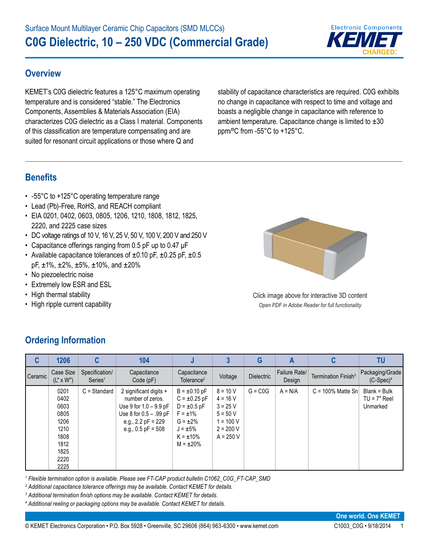

#### **Overview**

KEMET's C0G dielectric features a 125°C maximum operating temperature and is considered "stable." The Electronics Components, Assemblies & Materials Association (EIA) characterizes C0G dielectric as a Class I material. Components of this classification are temperature compensating and are suited for resonant circuit applications or those where Q and

stability of capacitance characteristics are required. C0G exhibits no change in capacitance with respect to time and voltage and boasts a negligible change in capacitance with reference to ambient temperature. Capacitance change is limited to  $\pm 30$ ppm/ºC from -55°C to +125°C.

#### **Benefits**

- -55°C to +125°C operating temperature range
- Lead (Pb)-Free, RoHS, and REACH compliant
- EIA 0201, 0402, 0603, 0805, 1206, 1210, 1808, 1812, 1825, 2220, and 2225 case sizes
- DC voltage ratings of 10 V, 16 V, 25 V, 50 V, 100 V, 200 V and 250 V
- Capacitance offerings ranging from 0.5 pF up to 0.47 μF
- Available capacitance tolerances of  $\pm 0.10$  pF,  $\pm 0.25$  pF,  $\pm 0.5$  $pF, \pm 1\%, \pm 2\%, \pm 5\%, \pm 10\%, \text{ and } \pm 20\%$
- No piezoelectric noise
- Extremely low ESR and ESL
- High thermal stability
- High ripple current capability



Click image above for interactive 3D content *Open PDF in Adobe Reader for full functionality*

| C       | 1206                                                                                 | C                                     | 104                                                                                                                                                |                                                                                                                                                   |                                                                                                   | G                 | A                       |                                 | TU                                         |
|---------|--------------------------------------------------------------------------------------|---------------------------------------|----------------------------------------------------------------------------------------------------------------------------------------------------|---------------------------------------------------------------------------------------------------------------------------------------------------|---------------------------------------------------------------------------------------------------|-------------------|-------------------------|---------------------------------|--------------------------------------------|
| Ceramic | Case Size<br>$(L'' \times W'')$                                                      | Specification/<br>Series <sup>1</sup> | Capacitance<br>Code(pF)                                                                                                                            | Capacitance<br>Tolerance <sup>2</sup>                                                                                                             | Voltage                                                                                           | <b>Dielectric</b> | Failure Rate/<br>Design | Termination Finish <sup>3</sup> | Packaging/Grade<br>$(C-Spec)^4$            |
|         | 0201<br>0402<br>0603<br>0805<br>1206<br>1210<br>1808<br>1812<br>1825<br>2220<br>2225 | $C =$ Standard                        | 2 significant digits +<br>number of zeros.<br>Use 9 for $1.0 - 9.9$ pF<br>Use 8 for $0.5 - .99$ pF<br>e.g., $2.2$ pF = 229<br>e.g., $0.5$ pF = 508 | $B = \pm 0.10 pF$<br>$C = \pm 0.25$ pF<br>$D = \pm 0.5$ pF<br>$F = \pm 1\%$<br>$G = \pm 2\%$<br>$J = \pm 5\%$<br>$K = \pm 10\%$<br>$M = \pm 20\%$ | $8 = 10 V$<br>$4 = 16 V$<br>$3 = 25 V$<br>$5 = 50 V$<br>$1 = 100 V$<br>$2 = 200 V$<br>$A = 250 V$ | $G = COG$         | $A = N/A$               | $C = 100\%$ Matte Sn            | Blank = Bulk<br>$TU = 7"$ Reel<br>Unmarked |

# **Ordering Information**

*1 Flexible termination option is available. Please see FT-CAP product bulletin C1062\_C0G\_FT-CAP\_SMD*

*2 Additional capacitance tolerance offerings may be available. Contact KEMET for details.*

*3 Additional termination finish options may be available. Contact KEMET for details.* 

*4 Additional reeling or packaging options may be available. Contact KEMET for details.*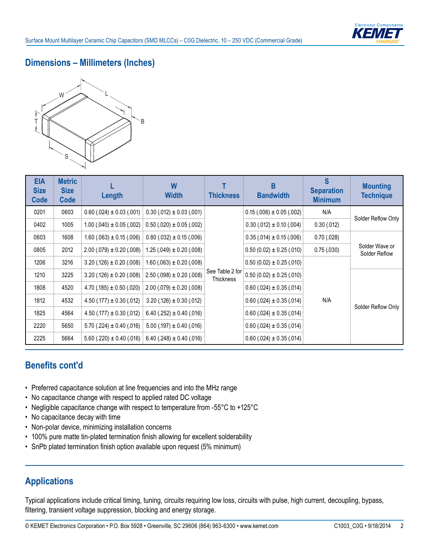#### **Dimensions – Millimeters (Inches)**



| <b>EIA</b><br><b>Size</b><br>Code | <b>Metric</b><br><b>Size</b><br>Code | Length                          | W<br><b>Width</b>               | <b>Thickness</b>                    | B<br><b>Bandwidth</b>           | S<br><b>Separation</b><br><b>Minimum</b> | <b>Mounting</b><br><b>Technique</b> |
|-----------------------------------|--------------------------------------|---------------------------------|---------------------------------|-------------------------------------|---------------------------------|------------------------------------------|-------------------------------------|
| 0201                              | 0603                                 | $0.60$ (.024) $\pm$ 0.03 (.001) | $0.30(.012) \pm 0.03(.001)$     |                                     | $0.15(.006) \pm 0.05(.002)$     | N/A                                      |                                     |
| 0402                              | 1005                                 | $1.00$ (.040) $\pm$ 0.05 (.002) | $0.50$ (.020) $\pm$ 0.05 (.002) |                                     | $0.30$ (.012) $\pm$ 0.10 (.004) | 0.30(.012)                               | Solder Reflow Only                  |
| 0603                              | 1608                                 | $1.60$ (.063) $\pm$ 0.15 (.006) | $0.80(.032) \pm 0.15(.006)$     |                                     | $0.35(.014) \pm 0.15(.006)$     | 0.70(0.028)                              |                                     |
| 0805                              | 2012                                 | $2.00(.079) \pm 0.20(.008)$     | $1.25(.049) \pm 0.20(.008)$     |                                     | $0.50(0.02) \pm 0.25(.010)$     | 0.75(.030)                               | Solder Wave or<br>Solder Reflow     |
| 1206                              | 3216                                 | $3.20(.126) \pm 0.20(.008)$     | $1.60$ (.063) $\pm$ 0.20 (.008) |                                     | $0.50(0.02) \pm 0.25(.010)$     |                                          |                                     |
| 1210                              | 3225                                 | $3.20$ (.126) $\pm$ 0.20 (.008) | $2.50(.098) \pm 0.20(.008)$     | See Table 2 for<br><b>Thickness</b> | $0.50(0.02) \pm 0.25(.010)$     |                                          |                                     |
| 1808                              | 4520                                 | $4.70(.185) \pm 0.50(.020)$     | $2.00(.079) \pm 0.20(.008)$     |                                     | $0.60$ (.024) $\pm$ 0.35 (.014) |                                          |                                     |
| 1812                              | 4532                                 | $4.50(.177) \pm 0.30(.012)$     | $3.20(.126) \pm 0.30(.012)$     |                                     | $0.60$ (.024) $\pm$ 0.35 (.014) | N/A                                      |                                     |
| 1825                              | 4564                                 | $4.50(.177) \pm 0.30(.012)$     | $6.40(.252) \pm 0.40(.016)$     |                                     | $0.60$ (.024) $\pm$ 0.35 (.014) |                                          | Solder Reflow Only                  |
| 2220                              | 5650                                 | $5.70(.224) \pm 0.40(.016)$     | $5.00$ (.197) $\pm$ 0.40 (.016) |                                     | $0.60$ (.024) $\pm$ 0.35 (.014) |                                          |                                     |
| 2225                              | 5664                                 | $5.60$ (.220) $\pm$ 0.40 (.016) | $6.40(.248) \pm 0.40(.016)$     |                                     | $0.60$ (.024) $\pm$ 0.35 (.014) |                                          |                                     |

#### **Benefits cont'd**

- Preferred capacitance solution at line frequencies and into the MHz range
- No capacitance change with respect to applied rated DC voltage
- Negligible capacitance change with respect to temperature from -55°C to +125°C
- No capacitance decay with time
- Non-polar device, minimizing installation concerns
- 100% pure matte tin-plated termination finish allowing for excellent solderability
- SnPb plated termination finish option available upon request (5% minimum)

## **Applications**

Typical applications include critical timing, tuning, circuits requiring low loss, circuits with pulse, high current, decoupling, bypass, filtering, transient voltage suppression, blocking and energy storage.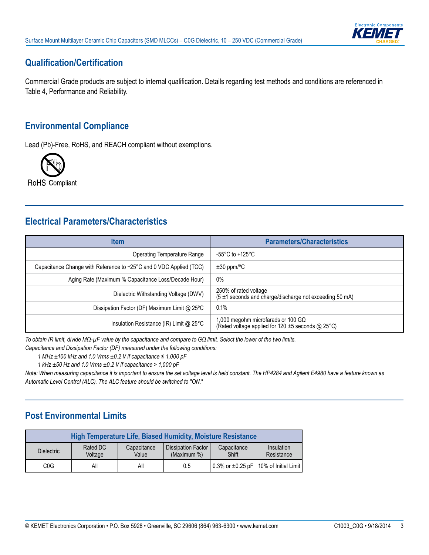

## **Qualification/Certification**

Commercial Grade products are subject to internal qualification. Details regarding test methods and conditions are referenced in Table 4, Performance and Reliability.

#### **Environmental Compliance**

Lead (Pb)-Free, RoHS, and REACH compliant without exemptions.



# **Electrical Parameters/Characteristics**

| <b>Item</b>                                                        | <b>Parameters/Characteristics</b>                                                               |
|--------------------------------------------------------------------|-------------------------------------------------------------------------------------------------|
| Operating Temperature Range                                        | -55°C to +125°C                                                                                 |
| Capacitance Change with Reference to +25°C and 0 VDC Applied (TCC) | $\pm 30$ ppm/°C                                                                                 |
| Aging Rate (Maximum % Capacitance Loss/Decade Hour)                | $0\%$                                                                                           |
| Dielectric Withstanding Voltage (DWV)                              | 250% of rated voltage<br>(5 ±1 seconds and charge/discharge not exceeding 50 mA)                |
| Dissipation Factor (DF) Maximum Limit @ 25°C                       | 0.1%                                                                                            |
| Insulation Resistance (IR) Limit @ 25°C                            | 1,000 megohm microfarads or 100 G $\Omega$<br>(Rated voltage applied for 120 ±5 seconds @ 25°C) |

*To obtain IR limit, divide MΩ-µF value by the capacitance and compare to GΩ limit. Select the lower of the two limits.*

*Capacitance and Dissipation Factor (DF) measured under the following conditions:*

*1 MHz ±100 kHz and 1.0 Vrms ±0.2 V if capacitance ≤ 1,000 pF*

*1 kHz ±50 Hz and 1.0 Vrms ±0.2 V if capacitance > 1,000 pF*

*Note: When measuring capacitance it is important to ensure the set voltage level is held constant. The HP4284 and Agilent E4980 have a feature known as Automatic Level Control (ALC). The ALC feature should be switched to "ON."*

## **Post Environmental Limits**

|                   |                     |                      | High Temperature Life, Biased Humidity, Moisture Resistance |                      |                                                      |
|-------------------|---------------------|----------------------|-------------------------------------------------------------|----------------------|------------------------------------------------------|
| <b>Dielectric</b> | Rated DC<br>Voltage | Capacitance<br>Value | l Dissipation Factor I<br>(Maximum %)                       | Capacitance<br>Shift | Insulation<br>Resistance                             |
| COG               | All                 | All                  | 0.5                                                         |                      | $\vert$ 0.3% or $\pm$ 0.25 pF   10% of Initial Limit |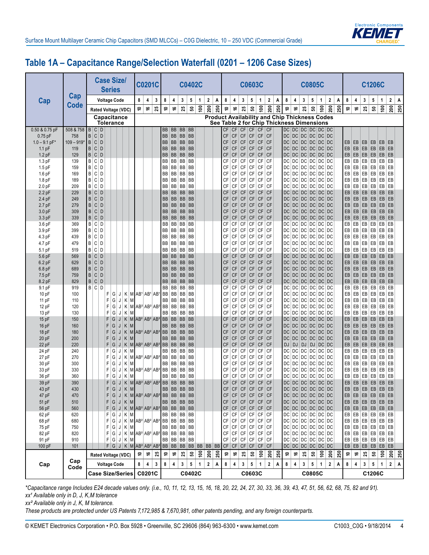

## **Table 1A – Capacitance Range/Selection Waterfall (0201 – 1206 Case Sizes)**

|                               |                     |                                         | <b>Case Size/</b><br><b>Series</b> |                   |             |                                                     | <b>C0201C</b>   |    |                        |                   |                       | <b>C0402C</b>  |               |              |     |                 |                         | <b>C0603C</b>          |                        |                                          |                        |                                                                                                   |                    |                         |                        | <b>C0805C</b>  |                                                         |     |     |          |                         |                  | <b>C1206C</b> |                    |                         |     |
|-------------------------------|---------------------|-----------------------------------------|------------------------------------|-------------------|-------------|-----------------------------------------------------|-----------------|----|------------------------|-------------------|-----------------------|----------------|---------------|--------------|-----|-----------------|-------------------------|------------------------|------------------------|------------------------------------------|------------------------|---------------------------------------------------------------------------------------------------|--------------------|-------------------------|------------------------|----------------|---------------------------------------------------------|-----|-----|----------|-------------------------|------------------|---------------|--------------------|-------------------------|-----|
| Cap                           | Cap                 |                                         | <b>Voltage Code</b>                |                   |             | 8                                                   | 4               | 3  | 8                      | 4                 | 3                     | 5              | 1             | $\mathbf 2$  | Α   | 8               | 4                       | 3                      | 5                      | 1                                        | 2                      | Α                                                                                                 | 8                  | 4                       | 3                      | 5              | $\mathbf{1}$                                            | 2   | Α   | 8        | 4                       | 3                | 5             | $\mathbf{1}$       | $\overline{\mathbf{2}}$ | Α   |
|                               | <b>Code</b>         |                                         | Rated Voltage (VDC)                |                   |             | \$                                                  | ې               | 25 | Ş                      | ؋                 | 25                    | ន              | $\frac{8}{2}$ | 200          | 250 | Ş               | ې                       | 25                     | ន                      | $\tilde{e}$                              | 200                    | 250                                                                                               | \$,                | ې                       | 25                     | ន              | $\tilde{e}$                                             | 200 | 250 | Ş        | ې                       | 25               | ន             | $\epsilon$         | 200                     | 250 |
|                               |                     |                                         | Capacitance<br>Tolerance           |                   |             |                                                     |                 |    |                        |                   |                       |                |               |              |     |                 |                         |                        |                        |                                          |                        | <b>Product Availability and Chip Thickness Codes</b><br>See Table 2 for Chip Thickness Dimensions |                    |                         |                        |                |                                                         |     |     |          |                         |                  |               |                    |                         |     |
| 0.50 & 0.75 pF                | 508 & 758           | B C D                                   |                                    |                   |             |                                                     |                 |    | BB<br><b>BB</b>        | <b>BB</b>         | BB BB BB              |                |               |              |     | СF              |                         | CF   CF                | <b>CF</b>              | CF                                       | CF                     |                                                                                                   |                    |                         |                        |                | DC DC DC DC DC DC                                       |     |     |          |                         |                  |               |                    |                         |     |
| $0.75$ pF<br>$1.0 - 9.1$ pF*  | 758<br>$109 - 919*$ | B<br> c <br>D<br>B<br>$\mathsf{C}$<br>D |                                    |                   |             |                                                     |                 |    | <b>BB</b>              |                   | <b>BB</b> BB<br>BB BB | <b>BB</b>      |               |              |     | CF<br><b>CF</b> | <b>CF</b><br><b>CF</b>  | CF<br><b>CF</b>        | CF<br>CF               | <b>CF</b>                                | $CF$ $CF$<br><b>CF</b> |                                                                                                   | DC<br>DC           |                         |                        |                | DC DC DC DC DC<br>DC DC DC DC DC                        |     |     | EB       | EB                      | EB               | EB            | EB EB              |                         |     |
| 1.1 <sub>pF</sub>             | 119                 | B<br> c <br>D                           |                                    |                   |             |                                                     |                 |    | <b>BB</b>              | <b>BB</b>         | <b>BB</b>             | <b>BB</b>      |               |              |     | <b>CF</b>       | <b>CF</b>               | <b>CF</b>              | <b>CF</b>              | CF                                       | <b>CF</b>              |                                                                                                   | DC                 |                         |                        |                | DC DC DC DC DC                                          |     |     | EB       | EB                      | EB               | EB            | EB                 | EB                      |     |
| $1.2$ pF                      | 129                 | B<br>$\mathsf{C}$<br>D                  |                                    |                   |             |                                                     |                 |    | <b>BB</b>              | <b>BB</b>         | BB                    | BB             |               |              |     | <b>CF</b>       | <b>CF</b>               | <b>CF</b>              | <b>CF</b>              | CF                                       | CF                     |                                                                                                   | DC                 |                         |                        | DC DC DC       | DC DC                                                   |     |     | EB       | EB                      | EB               | EB            | $EB$ $EB$          |                         |     |
| $1.3$ pF                      | 139                 | B C <br>D                               |                                    |                   |             |                                                     |                 |    | BB                     | <b>BB</b>         | BB BB                 |                |               |              |     | CF              | СF                      | CF                     | CF                     | CF                                       | <b>CF</b>              |                                                                                                   | DC                 |                         |                        |                | DC DC DC DC DC                                          |     |     | EB       | EB                      | EB               | EB            | $EB$ $EB$          |                         |     |
| $1.5$ pF                      | 159<br>169          | B C<br>D<br>B C<br>D                    |                                    |                   |             |                                                     |                 |    | BB<br>BB               | BB                | BB BB BB<br><b>BB</b> | <b>BB</b>      |               |              |     | CF<br>CF        | CF<br>CF                | CF<br>CF               | CF<br>CF               | СF<br>CF                                 | <b>CF</b><br><b>CF</b> |                                                                                                   | DC<br>DC           |                         | $DC$ $DC$<br>$DC$ $DC$ | DC             | DC DC DC<br>DC DC                                       |     |     | EB<br>EB | EB<br>EB                | EB<br>EB         | EB<br>EB      | EB<br>EB           | EB<br>EB                |     |
| $1.6$ pF<br>1.8 <sub>pF</sub> | 189                 | B C<br>D                                |                                    |                   |             |                                                     |                 |    | BB                     | <b>BB</b>         | BB BB                 |                |               |              |     | CF              | CF                      | CF                     | CF                     | CF                                       | <b>CF</b>              |                                                                                                   | DC                 |                         | $DC$ DC                | DC             | DC DC                                                   |     |     | EB       | EB                      | EB               | EB            | EB                 | EB                      |     |
| 2.0 <sub>pF</sub>             | 209                 | B C<br>D                                |                                    |                   |             |                                                     |                 |    | BB                     | BB                | BB BB                 |                |               |              |     | CF              | CF                      | CF                     | CF                     | CF                                       | <b>CF</b>              |                                                                                                   | DC                 |                         | $DC$ $DC$              | DC             | DC DC                                                   |     |     | EB       | EB                      | EB               | EB            | EB                 | EB                      |     |
| 2.2 pF                        | 229                 | B<br> c <br>D                           |                                    |                   |             |                                                     |                 |    | <b>BB</b>              |                   | BB BB BB              |                |               |              |     | <b>CF</b>       | <b>CF</b>               | <b>CF</b>              | $\mathsf{C}\mathsf{F}$ | <b>CF</b>                                | <b>CF</b>              |                                                                                                   | DC                 |                         |                        | $DC$ $DC$ $DC$ | DC DC                                                   |     |     | EB       | EB                      | EB               | EB            | EB EB              |                         |     |
| 2.4 pF                        | 249                 | c <br>B<br>D                            |                                    |                   |             |                                                     |                 |    | <b>BB</b>              | <b>BB</b>         | <b>BB</b>             | <b>BB</b>      |               |              |     | <b>CF</b>       | <b>CF</b>               | CF                     | <b>CF</b>              | <b>CF</b>                                | <b>CF</b>              |                                                                                                   | <b>DC</b>          |                         |                        | DC DC DC       | DC DC                                                   |     |     | EB       | EB                      | EB               | EB            | EB                 | EB                      |     |
| 2.7 pF                        | 279                 | B<br>$\lfloor c \rfloor$<br>D           |                                    |                   |             |                                                     |                 |    | <b>BB</b>              |                   | BB BB                 | <b>BB</b>      |               |              |     | <b>CF</b>       | <b>CF</b>               | CF                     | <b>CF</b>              | <b>CF</b>                                | <b>CF</b>              |                                                                                                   | DC                 |                         |                        | $DC$ $DC$ $DC$ | DC DC                                                   |     |     | EB       | EB                      | EB               | EB            | $EB$ $EB$          |                         |     |
| 3.0 pF                        | 309                 | B<br> c <br>D                           |                                    |                   |             |                                                     |                 |    | <b>BB</b>              | <b>BB</b>         | <b>BB</b> BB          |                |               |              |     | <b>CF</b>       | <b>CF</b>               | CF                     | <b>CF</b>              | <b>CF</b>                                | <b>CF</b>              |                                                                                                   | DC                 |                         |                        |                | DC DC DC DC DC                                          |     |     | EB       | EB                      | EB               | EB            | EB<br>$EB$ $EB$    | EB                      |     |
| 3.3 pF<br>3.6 pF              | 339<br>369          | B<br>$\mathsf{C}$<br>D<br>B<br>C.<br>D  |                                    |                   |             |                                                     |                 |    | <b>BB</b><br>BB        |                   | BB BB BB<br>BB BB BB  |                |               |              |     | <b>CF</b><br>CF | <b>CF</b><br>СF         | <b>CF</b><br>CF        | <b>CF</b><br>CF        | CF<br>CF                                 | <b>CF</b><br><b>CF</b> |                                                                                                   | DC<br>DC           |                         | $DC$ DC                |                | DC DC DC DC DC<br>DC DC DC                              |     |     | EB<br>EB | EB<br>EB                | EB<br>EB         | EB<br>EB      | $EB$ $EB$          |                         |     |
| 3.9 pF                        | 399                 | B C<br>D                                |                                    |                   |             |                                                     |                 |    | BB                     |                   | BB BB BB              |                |               |              |     | CF              | CF                      | CF                     | CF                     | CF                                       | <b>CF</b>              |                                                                                                   | DC                 |                         | $DC$ $DC$              | DC             | DC DC                                                   |     |     | EB       | EB                      | EB               | EB            | EB                 | EB                      |     |
| 4.3 pF                        | 439                 | $\mathsf{B}$<br>  C<br>D                |                                    |                   |             |                                                     |                 |    | BB                     | <b>BB</b>         | <b>BB</b> BB          |                |               |              |     | CF              | CF                      | CF                     | CF                     | CF                                       | CF                     |                                                                                                   | DC                 |                         | $DC$ DC                | DC             | DC DC                                                   |     |     | EB       | EB                      | EB               | EB            | EB                 | EB                      |     |
| 4.7 pF                        | 479                 | $\mathsf{B}$<br>  C<br>D                |                                    |                   |             |                                                     |                 |    | BB                     |                   | BB BB                 | BB             |               |              |     | СF              | CF                      | CF                     | CF                     | CF                                       | CF                     |                                                                                                   | DC                 |                         |                        |                | DC DC DC DC DC                                          |     |     | EB       | EB                      | EB               | EB            | EB                 | EB                      |     |
| 5.1 pF                        | 519                 | B C<br>D                                |                                    |                   |             |                                                     |                 |    | BB                     | BB                | <b>BB</b> BB          |                |               |              |     | CF              | СF                      | CF                     | CF                     | CF                                       | <b>CF</b>              |                                                                                                   | DC                 |                         | DC DC                  | DC             | DC DC                                                   |     |     | EB       | EB                      | EB               | EB            | EB                 | EB                      |     |
| 5.6 pF                        | 569                 | B C<br>D                                |                                    |                   |             |                                                     |                 |    | BB                     | <b>BB</b>         | BB BB                 |                |               |              |     | CF              | <b>CF</b>               | <b>CF</b>              | <b>CF</b>              | <b>CF</b>                                | <b>CF</b>              |                                                                                                   | DC                 |                         | $DC$ $DC$              | DC             | DC DC                                                   |     |     | EB       | EB                      | EB               | EB            | EB                 | EB                      |     |
| $6.2$ pF                      | 629                 | c <br>D<br>B                            |                                    |                   |             |                                                     |                 |    | BB                     | <b>BB</b>         | BB BB                 |                |               |              |     | CF              | <b>CF</b>               | <b>CF</b>              | <b>CF</b>              | <b>CF</b>                                | <b>CF</b>              |                                                                                                   | DC                 |                         |                        |                | DC DC DC DC DC                                          |     |     | EB       | EB                      | EB               | EB            | EB                 | EB                      |     |
| $6.8$ pF<br>7.5 pF            | 689<br>759          | c <br>B<br>D<br> c <br>B<br>D           |                                    |                   |             |                                                     |                 |    | <b>BB</b><br><b>BB</b> | <b>BB</b>         | BB BB BB<br>BB BB     |                |               |              |     | CF<br>CF        | <b>CF</b><br><b>CF</b>  | <b>CF</b><br><b>CF</b> | <b>CF</b><br><b>CF</b> | <b>CF</b><br><b>CF</b>                   | <b>CF</b><br><b>CF</b> |                                                                                                   | DC<br><b>DC</b>    |                         |                        |                | DC DC DC DC DC<br>DC DC DC DC DC                        |     |     | EB<br>EB | $EB$ $EB$<br>EB         | EB               | EB<br>EB      | EB EB<br>$EB$ $EB$ |                         |     |
| 8.2 pF                        | 829                 | B C<br>D                                |                                    |                   |             |                                                     |                 |    | <b>BB</b>              |                   | BB BB                 | $\overline{B}$ |               |              |     | CF              | <b>CF</b>               | CF                     | <b>CF</b>              | <b>CF</b>                                | <b>CF</b>              |                                                                                                   | DC                 |                         |                        |                | DC DC DC DC DC                                          |     |     | EB       | $EB$ $EB$               |                  | EB            | $EB$ $EB$          |                         |     |
| 9.1 pF                        | 919                 | B C D                                   |                                    |                   |             |                                                     |                 |    | BB                     |                   | BB   BB   BB          |                |               |              |     | CF              | CF                      | CF                     | CF                     | СF                                       | <b>CF</b>              |                                                                                                   | DC                 |                         |                        |                | DC DC DC DC DC                                          |     |     | EB       | EB                      | EB               | EB            | EB EB              |                         |     |
| 10 pF                         | 100                 |                                         | G<br>F                             | J                 |             | $K \mid M \mid AB^1 \mid AB^1 \mid AB^1 \mid BB$    |                 |    |                        |                   | BB   BB   BB          |                |               |              |     | CF              | CF                      | CF                     | CF                     | CF                                       | CF                     |                                                                                                   | DC                 |                         |                        |                | DC DC DC DC DC                                          |     |     | EB       | EB                      | EB               | EB            | EB EB              |                         |     |
| 11 pF                         | 110                 |                                         | G<br>F                             | J                 | Κ<br>M      |                                                     |                 |    | BB                     | BB                | BB                    | BB             |               |              |     | CF              | CF                      | CF                     | CF                     | CF                                       | CF                     |                                                                                                   | DC                 |                         |                        | DC DC DC       | DC DC                                                   |     |     | EB       | EB                      | EB               | EB            | $EB$ $EB$          |                         |     |
| 12 pF                         | 120                 |                                         | F<br>G                             | J                 | Κ<br>M      | AB <sup>2</sup> AB <sup>2</sup> AB <sup>2</sup> BB  |                 |    |                        |                   | BB   BB   BB          |                |               |              |     | CF              | CF                      | CF                     | CF                     | CF                                       | CF                     |                                                                                                   | DC                 |                         |                        | DC DC DC       | DC DC                                                   |     |     | EB       | EB                      | EB               | EB            | EB                 | EB                      |     |
| 13 pF<br>15 pF                | 130<br>150          |                                         | F<br>G<br>G<br>F                   | J<br>J            | Κ<br>M<br>Κ | MAB <sup>2</sup> AB <sup>2</sup> AB <sup>2</sup> BB |                 |    | BB                     | BB                | BB BB<br>BB BB BB     |                |               |              |     | CF<br><b>CF</b> | CF<br><b>CF</b>         | CF<br><b>CF</b>        | CF<br>CF               | CF<br><b>CF</b>                          | CF<br><b>CF</b>        |                                                                                                   | <b>DC</b><br>DC    |                         | $DC$ $DC$              |                | DC DC DC<br>DC DC DC DC DC                              |     |     | EB<br>EB | EB<br>EB                | EB<br>EB         | EB<br>EB      | EB<br>EB EB        | EB                      |     |
| 16 pF                         | 160                 |                                         | F<br>G                             | J                 | K<br>M      |                                                     |                 |    | BB                     | <b>BB</b>         | <b>BB</b>             | BB             |               |              |     | <b>CF</b>       | <b>CF</b>               | CF                     | <b>CF</b>              | <b>CF</b>                                | <b>CF</b>              |                                                                                                   | DC                 |                         |                        |                | DC DC DC DC DC                                          |     |     | EB       | EB                      | EB               | EB            | EB                 | EB                      |     |
| 18 pF                         | 180                 |                                         | F<br>G                             | J                 | Κ<br>M      | $AB^2AB^2AB^2BB$                                    |                 |    |                        | <b>BB</b>         | <b>BB</b>             | $\overline{B}$ |               |              |     | <b>CF</b>       | <b>CF</b>               | <b>CF</b>              | <b>CF</b>              | <b>CF</b>                                | <b>CF</b>              |                                                                                                   | <b>DC</b>          |                         |                        |                | DC DC DC DC DC                                          |     |     | EB       | EB                      | EB               | EB            | EB EB              |                         |     |
| 20 pF                         | 200                 |                                         | F<br>G                             | J                 | Κ<br>M      |                                                     |                 |    | <b>BB</b>              | <b>BB</b>         | BB BB                 |                |               |              |     | <b>CF</b>       | <b>CF</b>               | <b>CF</b>              | <b>CF</b>              | <b>CF</b>                                | <b>CF</b>              |                                                                                                   | DC                 |                         |                        |                | DC DC DC DC DC                                          |     |     | EB       | EB                      | EB               | EB            | $EB$ $EB$          |                         |     |
| 22 pF                         | 220                 |                                         | F<br>G                             | J                 |             | $K$ M $AB^2AB^2AB^2BB$                              |                 |    |                        | BB BB             |                       | $\overline{B}$ |               |              |     | CF              | <b>CF</b>               | CF                     | <b>CF</b>              | <b>CF</b>                                | <b>CF</b>              |                                                                                                   | DJ                 |                         |                        |                | DJ   DJ   DJ   DC   DC                                  |     |     | EB       | $EB$ $EB$               |                  | EB            | EB EB              |                         |     |
| 24 pF                         | 240                 |                                         | F<br>G                             | J                 | $K \mid M$  |                                                     |                 |    | BB                     |                   | BB   BB   BB          |                |               |              |     | CF              | CF                      | CF                     | CF                     | CF                                       | <b>CF</b>              |                                                                                                   | DC                 |                         | $DC$ $DC$              |                | DC DC DC                                                |     |     | EB       | EB                      | EB               | EB            | EB EB              |                         |     |
| 27 pF                         | 270                 |                                         | F<br>G<br>F                        | J                 | Κ<br>$K$ M  | MAB <sup>2</sup> AB <sup>2</sup> AB <sup>2</sup> BB |                 |    |                        |                   | BB   BB   BB          |                |               |              |     | CF              | СF                      | CF<br><b>CF</b>        | CF                     | CF                                       | <b>CF</b><br><b>CF</b> |                                                                                                   | DC                 |                         | DC DC<br>DC DC         |                | DC DC DC<br>DC DC DC                                    |     |     | EB<br>EB | EB                      | EB               | EB            | EB  <br>$EB$ $EB$  | EB                      |     |
| 30 pF<br>33 pF                | 300<br>330          |                                         | G<br>F<br>G                        | J<br>$\mathsf{U}$ |             | $K \mid M \mid AB^2 \mid AB^2 \mid AB^2 \mid BB$    |                 |    | BB                     | <b>BB</b>         | BB<br>BB BB           | BB<br>BB       |               |              |     | СF<br>CF        | CF<br>CF                | CF                     | CF<br>CF               | CF<br>CF                                 | CF                     |                                                                                                   | DC<br>DC           |                         | $DC$ $DC$              | DC             | DC DC                                                   |     |     | EB       | EB<br>EB                | EB<br>EB         | EB<br>EB      | EB                 | EB                      |     |
| 36 pF                         | 360                 |                                         | G<br>F                             | J                 | $K$ M       |                                                     |                 |    | BB                     | BB                | BB                    | BB             |               |              |     | CF              | СF                      | CF                     | CF                     | CF                                       | CF                     |                                                                                                   | DC                 |                         | DC DC                  |                | DC DC DC                                                |     |     | EB       | EB                      | EB               | EB            | EB                 | EB                      |     |
| 39 pF                         | 390                 |                                         | F.<br>G                            | $\bullet$         |             | $K$ M $AB^2$ $AB^2$ $AB^2$ BB BB BB BB              |                 |    |                        |                   |                       |                |               |              |     | <b>CF</b>       | <b>CF</b>               | CF                     | <b>CF</b>              | <b>CF</b>                                | <b>CF</b>              |                                                                                                   |                    |                         |                        |                | DC DC DC DC DC DC                                       |     |     | EB       | $EB$ $EB$               |                  | EB            | EB EB              |                         |     |
| 43 pF                         | 430                 |                                         | F.<br>G                            |                   | JKM         |                                                     |                 |    |                        | BB   BB   BB   BB |                       |                |               |              |     | СF              |                         |                        |                        | CF CF CF CF CF                           |                        |                                                                                                   |                    |                         |                        |                | $DC$ $DC$ $DC$ $DC$ $DC$ $DC$                           |     |     | EB       | EB                      | EB               | EB            | $EB$ EB            |                         |     |
| 47 pF                         | 470                 |                                         | F<br>$\mathsf G$                   | J                 |             | $K$ M $AB^2$ $AB^2$ $AB^2$ BB                       |                 |    |                        |                   | BB BB BB              |                |               |              |     | СF              |                         | $CF$ $CF$              | CF                     |                                          | $CF$ $CF$              |                                                                                                   |                    |                         |                        |                | $DC$ DC DC DC DC DC                                     |     |     | EB       | EB                      | EB               | EB            | EB EB              |                         |     |
| 51 pF                         | 510                 |                                         | G                                  | $J \mid$          | $K$ M       |                                                     |                 |    | BB                     | <b>BB</b>         | <b>BB</b> BB          |                |               |              |     | СF              |                         | $CF$ $CF$              | $\mathsf{C}\mathsf{F}$ | $CF$ $CF$                                |                        |                                                                                                   |                    |                         |                        |                | $DC$ DC DC DC DC DC DC                                  |     |     | EB       | $EB$ $EB$               |                  | EB            | $EB$ $EB$          |                         |     |
| 56 pF                         | 560                 |                                         | $\mathsf G$<br>F<br>F.             |                   | $J$ K M     | $J$ K M $AB^2$ $AB^2$ $BB$ $BB$ $BB$ $BB$ $BB$      |                 |    | BB                     |                   | BB BB BB              |                |               |              |     | CF<br>CF        | $\mathsf{CF}$           | CF                     | $\mathsf{C}\mathsf{F}$ | CF CF CF CF CF<br>$\mathsf{C}\mathsf{F}$ | CF                     |                                                                                                   |                    |                         |                        |                | $DC$ $DC$ $DC$ $DC$ $DC$ $DC$<br>$DC$ DC DC DC DC DC DC |     |     | EB<br>EB | $EB$ $EB$<br>EB         | EB EB EB EB      | EB            | $EB$ EB            |                         |     |
| 62 pF<br>68 pF                | 620<br>680          |                                         | G<br>G<br>F.                       | J                 |             | $K$ M $AB^2$ $AB^2$ $AB^2$ $BB$                     |                 |    |                        |                   | BB BB BB              |                |               |              |     | CF              |                         | CF CF CF               |                        | CF                                       | CF                     |                                                                                                   |                    |                         |                        |                | DC DC DC DC DC DC                                       |     |     | EB       | EB                      | EB               | EB            | EB EB              |                         |     |
| 75 pF                         | 750                 |                                         | F.<br>G                            |                   | $J$ K M     |                                                     |                 |    | BB                     | <b>BB</b>         | BB BB                 |                |               |              |     | CF              |                         | $CF$ $CF$ $CF$         |                        | CF                                       | CF                     |                                                                                                   |                    |                         |                        |                | DC DC DC DC DC DC                                       |     |     | EB       | $EB$ $EB$               |                  | EB            | EB EB              |                         |     |
| 82 pF                         | 820                 |                                         | F.                                 |                   |             | $ G $ J $ K $ M $AB^2AB^2AB^2BB$ BB                 |                 |    |                        | BB BB BB          |                       |                |               |              |     | СF              |                         |                        |                        | CF CF CF CF                              | CF                     |                                                                                                   |                    |                         |                        |                | DC DC DC DC DC DC                                       |     |     | EB       |                         | EB EB EB EB EB   |               |                    |                         |     |
| 91 pF                         | 910                 |                                         | G <br>F.                           |                   | $J$ K $M$   |                                                     |                 |    | BB                     | BB BB BB          |                       |                |               |              |     | CF              |                         |                        |                        | CF CF CF CF CF                           |                        |                                                                                                   |                    |                         |                        |                | DC DC DC DC DC                                          |     |     | EB       |                         | $EB$ EB EB EB EB |               |                    |                         |     |
| 100 pF                        | 101                 |                                         |                                    |                   |             | $F G $ J $ K M AB^2 AB^2 AB^2 BB$                   |                 |    |                        | <b>BB</b>         |                       | BB BB BB       |               | BB BB        |     | CF              | CF                      |                        |                        | CFCFCFCF                                 |                        |                                                                                                   |                    |                         |                        |                | DC DC DC DC DC DC                                       |     |     | EB       |                         | $EB$ EB EB EB EB |               |                    |                         |     |
|                               | Cap                 | Rated Voltage (VDC)                     |                                    |                   |             | $\mathrel{\mathop{\mathsf{e}}\nolimits}$            | $\pmb{\varphi}$ | 25 | \$,                    | ې                 | 25                    | ${\tt s}$      | 100           | 200          | 250 | Ş               | 9                       | 25                     | ន                      | $\mathsf{S}$                             | 200                    | 250                                                                                               | $\hat{\mathbf{r}}$ | ې                       | 25                     | ${\tt s}$      | $\tilde{5}$                                             | 200 | 250 | Ş        | ې                       | 25               | ${\tt s}$     | $\mathsf{S}$       | 200                     | 250 |
| Cap                           | Code                |                                         | <b>Voltage Code</b>                |                   |             | 8                                                   | $\pmb{4}$       | 3  | 8                      | 4                 | $\mathbf{3}$          | ${\bf 5}$      | $\mathbf{1}$  | $\mathbf{2}$ | Α   | 8               | $\overline{\mathbf{4}}$ | 3 <sup>1</sup>         | ${\bf 5}$              | $\mathbf{1}$                             | $\mathbf{2}$           | A                                                                                                 | 8                  | $\overline{\mathbf{4}}$ | $\mathbf 3$            | ${\bf 5}$      | $\mathbf{1}$                                            | 2   | Α   | 8        | $\overline{\mathbf{4}}$ | $\mathbf 3$      | ${\bf 5}$     | $\mathbf{1}$       | 2 A                     |     |
|                               |                     | <b>Case Size/Series</b>                 |                                    |                   |             |                                                     | C0201C          |    |                        |                   |                       | C0402C         |               |              |     |                 |                         |                        |                        | C0603C                                   |                        |                                                                                                   |                    |                         |                        | C0805C         |                                                         |     |     |          |                         |                  | C1206C        |                    |                         |     |

*\*Capacitance range Includes E24 decade values only. (i.e., 10, 11, 12, 13, 15, 16, 18, 20, 22, 24, 27, 30, 33, 36, 39, 43, 47, 51, 56, 62, 68, 75, 82 and 91). xx¹ Available only in D, J, K,M tolerance*

*xx² Available only in J, K, M tolerance.* 

*These products are protected under US Patents 7,172,985 & 7,670,981, other patents pending, and any foreign counterparts.*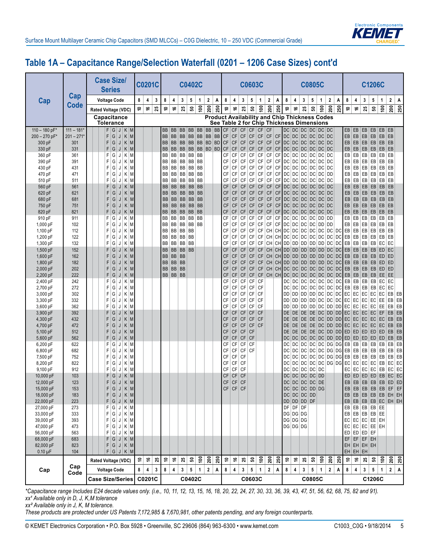

## **Table 1A – Capacitance Range/Selection Waterfall (0201 – 1206 Case Sizes) cont'd**

|                         |                     | <b>Case Size/</b><br><b>Series</b>                           |                          | <b>C0201C</b>           |             |                        |           |                    | <b>C0402C</b>             |                |                                                      |     |                                           |                              |                        |                              | <b>C0603C</b>            |                        |                               |                              |                              |                                           | <b>C0805C</b> |                 |              |             |                                                       |                              |                            |                        | <b>C1206C</b>                              |                 |                         |                 |
|-------------------------|---------------------|--------------------------------------------------------------|--------------------------|-------------------------|-------------|------------------------|-----------|--------------------|---------------------------|----------------|------------------------------------------------------|-----|-------------------------------------------|------------------------------|------------------------|------------------------------|--------------------------|------------------------|-------------------------------|------------------------------|------------------------------|-------------------------------------------|---------------|-----------------|--------------|-------------|-------------------------------------------------------|------------------------------|----------------------------|------------------------|--------------------------------------------|-----------------|-------------------------|-----------------|
| Cap                     | Cap                 | <b>Voltage Code</b>                                          | 8                        | 4                       | 3           | 8                      | 4         | 3                  | $\sqrt{5}$                | $\mathbf{1}$   | $\mathbf 2$                                          | Α   | 8                                         | 4                            | 3                      | 5                            | 1                        | $\mathbf 2$            | Α                             | 8                            | 4                            | 3                                         |               | 5               | $\mathbf{1}$ | $\mathbf 2$ | Α                                                     | 8                            | 4                          | 3                      | 5                                          | $\mathbf{1}$    | $\overline{\mathbf{2}}$ | Α               |
|                         | <b>Code</b>         | Rated Voltage (VDC)                                          | \$                       | ؋                       | 25          | \$,                    | ؋         | 25                 | ន                         | $\epsilon$     | 200                                                  | 250 | Ş                                         | ؋                            | $25\,$                 | ន                            | $\frac{8}{2}$            | 200                    | 250                           | $\tilde{=}$                  | ې                            | $25\,$                                    |               | ន               | $\tilde{e}$  | 200         | 250                                                   | Ş                            | ې                          | 25                     | ន                                          | $\epsilon$      | 200                     | 250             |
|                         |                     | Capacitance<br><b>Tolerance</b>                              |                          |                         |             |                        |           |                    |                           |                | <b>Product Availability and Chip Thickness Codes</b> |     | See Table 2 for Chip Thickness Dimensions |                              |                        |                              |                          |                        |                               |                              |                              |                                           |               |                 |              |             |                                                       |                              |                            |                        |                                            |                 |                         |                 |
| $110 - 180$ pF*         | $111 - 181*$        | F G J K M                                                    |                          |                         |             | BB                     | <b>BB</b> |                    | BB BB BB                  |                |                                                      |     | BB   BB   CF   CF   CF   CF               |                              |                        |                              | <b>CF</b>                | CF                     |                               |                              |                              | DC DC DC DC DC DC                         |               |                 |              |             |                                                       | EB                           | EB                         | EB                     | EB                                         | EB EB           |                         |                 |
| 200 - 270 pF*<br>300 pF | $201 - 271*$<br>301 | F<br>G<br>$K$ M<br>J<br>F<br>G<br>$K$ M                      |                          |                         |             | BB<br>BB               | <b>BB</b> | <b>BB</b><br>BB BB | <b>BB</b><br><b>BB</b> BB | <b>BB</b>      | BB<br>BD BD                                          | BB  | <b>CF</b><br><b>CF</b>                    | CF<br><b>CF</b>              | CF<br><b>CF</b>        | $\mathsf{C}\mathsf{F}$<br>CF | CF<br><b>CF</b>          | CF<br>CF               | CF                            |                              |                              | DC DC DC DC DC DC<br>CF DC DC DC DC DC DC |               |                 |              |             |                                                       | EB<br>EB                     | EB                         | EB<br>$EB$ $EB$        | EB<br>EB                                   | EB              | EB<br>EB EB             |                 |
| 330 pF                  | 331                 | J<br>F<br>G<br>$K$ M<br>J                                    |                          |                         |             | <b>BB</b>              | BB        | <b>BB</b>          | <b>BB</b>                 | BB             | BD BD                                                |     | <b>CF</b>                                 | CF                           | CF                     | CF                           | <b>CF</b>                | <b>CF</b>              | CF                            |                              |                              | DC DC DC DC DC DC                         |               |                 |              |             |                                                       | EB                           |                            | $EB$ $EB$              | EB                                         | EB              | EB                      |                 |
| 360 pF                  | 361                 | F<br>G<br>$K \mid M$<br>J                                    |                          |                         |             | BB                     |           | BB BB BB BB        |                           |                |                                                      |     | CF                                        | CF                           | CF                     | CF                           | CF                       | CF                     | CF                            |                              |                              | DC DC DC DC DC DC DC                      |               |                 |              |             |                                                       | EB                           |                            | $EB$ $EB$              | EB                                         |                 | EB EB                   |                 |
| 390 pF                  | 391                 | F<br>G<br>$\mathsf{K}$<br>M<br>J                             |                          |                         |             | BB                     | BB        |                    | BB BB BB                  |                |                                                      |     | CF                                        | CF                           | CF                     | CF                           | CF                       | CF                     | CF                            |                              |                              | DC DC DC                                  |               |                 |              | DC DC DC    |                                                       | EB                           |                            | $EB$ $EB$              | EB                                         |                 | $EB$ $EB$               |                 |
| 430 pF                  | 431                 | F<br>G<br>M<br>K<br>J                                        |                          |                         |             | BB                     |           | BB BB BB BB        |                           |                |                                                      |     | CF                                        | CF                           | CF                     | CF                           | CF                       | CF                     | CF                            |                              |                              | DC DC DC DC DC DC                         |               |                 |              |             |                                                       | EB                           |                            | $EB$ $EB$              | EB                                         |                 | $EB$ $EB$               |                 |
| 470 pF                  | 471                 | F<br>G<br>Κ<br>M<br>J                                        |                          |                         |             | BB                     | BB        | BB                 | BB BB                     |                |                                                      |     | CF                                        | CF                           | <b>CF</b>              | CF                           | CF                       | $\mathsf{CF}$          | <b>CF</b>                     |                              |                              | DC DC DC                                  |               | DC              | DC DD        |             |                                                       | EB                           | EB                         | EB                     | EB                                         |                 | $EB$ $EB$               |                 |
| 510 pF                  | 511                 | G<br>F<br>Κ<br>M<br>J                                        |                          |                         |             | BB                     | BB        | <b>BB</b>          | BB BB                     |                |                                                      |     | CF                                        | CF                           | CF                     | CF                           | CF                       | CF                     | CF                            |                              |                              | DC DC DC                                  |               | DC              | DC DC        |             |                                                       | EB                           | EB                         | EB                     | EB                                         | EB              | EB                      |                 |
| 560 pF<br>620 pF        | 561<br>621          | G<br>F<br>$K$ M<br>J<br>F<br>G<br>K<br>$\vert M$<br>J        |                          |                         |             | <b>BB</b><br><b>BB</b> | BB        | BB<br>BB BB BB BB  | <b>BB</b> BB              |                |                                                      |     | CF<br><b>CF</b>                           | <b>CF</b><br><b>CF</b>       | CF<br>CF               | <b>CF</b><br><b>CF</b>       | <b>CF</b><br><b>CF</b>   | <b>CF</b><br><b>CF</b> |                               |                              |                              | CF DC DC DC<br>CF DC DC DC DC DC DC       |               |                 |              | DC DC DC    |                                                       | EB<br>EB                     | EB<br>EB                   | EB<br>EB               | EB<br>EB                                   |                 | $EB$ $EB$<br>$EB$ $EB$  |                 |
| 680 pF                  | 681                 | F<br>G<br>$K$ M<br>J                                         |                          |                         |             | <b>BB</b>              | BB        |                    | BB BB BB                  |                |                                                      |     | CF                                        | <b>CF</b>                    | <b>CF</b>              | CF                           | <b>CF</b>                | <b>CF</b>              | CF                            |                              |                              | DC DC DC DC DC DC                         |               |                 |              |             |                                                       | EB                           | EB                         | EB                     | EB                                         |                 | $EB$ $EB$               |                 |
| 750 pF                  | 751                 | F<br>G<br>$K$ M<br>J                                         |                          |                         |             | <b>BB</b>              |           | BB BB BB BB        |                           |                |                                                      |     | <b>CF</b>                                 | CF                           | CF                     | <b>CF</b>                    | <b>CF</b>                | <b>CF</b>              |                               |                              |                              | CF DC DC DC DC DC DC                      |               |                 |              |             |                                                       | EB                           | EB                         | EB                     | EB                                         | EB EB           |                         |                 |
| 820 pF                  | 821                 | F<br>G<br>M<br>Κ<br>J                                        |                          |                         |             | BB                     | BB        |                    | <b>BB BB BB</b>           |                |                                                      |     | <b>CF</b>                                 | <b>CF</b>                    | <b>CF</b>              | CF                           | <b>CF</b>                |                        | $CF$ $CF$                     |                              |                              | DC DC DC DC DC DC DC                      |               |                 |              |             |                                                       | $\mathsf{EB}$                |                            | $EB$ $EB$              | EB                                         |                 | $EB$ $EB$               |                 |
| 910 pF                  | 911                 | F<br>G<br>K M<br>J                                           |                          |                         |             | BB                     |           | BB   BB   BB   BB  |                           |                |                                                      |     | CF                                        | СF                           | CF                     | CF                           | CF                       | CF                     | <b>CF</b>                     |                              |                              | DC DC DC DC DC DD DD                      |               |                 |              |             |                                                       | EB                           |                            | $EB$ $EB$              | EB                                         |                 | EB EB                   |                 |
| 1,000 pF                | 102                 | F<br>G<br>K M<br>J                                           |                          |                         |             | BB                     | BB        |                    | BB BB BB                  |                |                                                      |     | СF                                        | CF                           | CF                     | CF                           | CF                       | CF                     | <b>CF</b>                     |                              |                              | DC DC DC                                  |               | DC              | DD DD        |             |                                                       | EB                           |                            | $EB$ $EB$              | EB                                         | EB              | EB                      |                 |
| 1,100 pF<br>1,200 pF    | 112<br>122          | F<br>G<br>M<br>K<br>J<br>F<br>G<br>$K$ M<br>J                |                          |                         |             | BB<br>BB               | BB        | BB BB BB<br>BB BB  |                           |                |                                                      |     | CF<br>CF                                  | CF<br>CF                     | CF<br>CF               | CF<br>CF                     | CF<br>CF                 |                        | CH CH DC DC DC DC DC DC DC    |                              |                              |                                           |               |                 |              |             | CH CH DC DC DC DC DC DC DC DC                         | EB<br>EB                     |                            | $EB$ $EB$<br>$EB$ $EB$ | EB<br>EB                                   |                 | $EB$ $EB$<br>$EB$ $EB$  |                 |
| 1,300 pF                | 132                 | F<br>G<br>$K$ M<br>J                                         |                          |                         |             | BB                     |           | BB BB              | <b>BB</b>                 |                |                                                      |     | CF                                        | СF                           | CF                     | CF                           | CF                       |                        | CH CH DD DD DD DD DD DD DC DC |                              |                              |                                           |               |                 |              |             |                                                       | EB                           |                            | $EB$ $EB$              | EB                                         | EC              | EC                      |                 |
| 1,500 pF                | 152                 | G<br>M<br>F<br>K<br>J                                        |                          |                         |             | <b>BB</b>              | <b>BB</b> | BB                 | <b>BB</b>                 |                |                                                      |     | CF                                        | CF                           | <b>CF</b>              | <b>CF</b>                    | <b>CF</b>                | CH                     |                               | CH DD                        |                              |                                           |               |                 |              |             | DD DD DD DD DC DC                                     | EB                           |                            | $EB$ $EB$              | EB                                         |                 | $ED$ $EC$               |                 |
| 1,600 pF                | 162                 | F<br>G<br>Κ<br>M<br>J                                        |                          |                         |             | <b>BB</b>              |           | BB BB              |                           |                |                                                      |     | CF                                        | <b>CF</b>                    | <b>CF</b>              | <b>CF</b>                    | <b>CF</b>                | CH                     |                               |                              |                              |                                           |               |                 |              |             | CH DD DD DD DD DD DC DC                               | EB                           |                            | $EB$ $EB$              | EB                                         |                 | $ED$ $ED$               |                 |
| 1,800 pF                | 182                 | F<br>G<br>$K$ M<br>J                                         |                          |                         |             | <b>BB</b>              |           | BB BB              |                           |                |                                                      |     | CF                                        | <b>CF</b>                    | <b>CF</b>              | <b>CF</b>                    | CF                       |                        |                               |                              |                              |                                           |               |                 |              |             | CH CH DD DD DD DD DD DC DC                            | EB                           |                            | $EB$ $EB$              | EB                                         |                 | $ED$ $ED$               |                 |
| 2,000 pF                | 202                 | F<br>G<br>$K$ M<br>J                                         |                          |                         |             | <b>BB</b>              | <b>BB</b> | <b>BB</b>          |                           |                |                                                      |     | CF                                        | <b>CF</b>                    | CF                     | <b>CF</b>                    | <b>CF</b>                |                        |                               |                              |                              |                                           |               |                 |              |             | CH CH DC DC DC DC DC DC DC DC EB                      |                              |                            | $EB$ $EB$              | EB                                         |                 | ED ED                   |                 |
| 2,200 pF                | 222                 | F<br>G<br>$K$ M<br>J                                         |                          |                         |             |                        | BB BB BB  |                    |                           |                |                                                      |     | <b>CF</b>                                 | <b>CF</b>                    | CF                     | <b>CF</b>                    | CF                       |                        |                               |                              |                              |                                           |               |                 |              |             | CH CH DC DC DC DC DC DC DC                            | EB                           |                            | $EB$ $EB$              | EB                                         | $E$ EE $E$      |                         |                 |
| 2,400 pF<br>2,700 pF    | 242<br>272          | G<br>F<br>$K \mid M$<br>J<br>F<br>G<br>$K \mid M$<br>J       |                          |                         |             |                        |           |                    |                           |                |                                                      |     | CF<br>CF                                  | CF<br>$\mathsf{C}\mathsf{F}$ | CF<br>CF               | CF<br>CF                     | CF<br>CF                 |                        |                               | DC                           |                              |                                           |               |                 |              |             | DC DC DC DC DC DC DC<br>$DC$ $DC$ $DC$ $DC$ $DC$ $DC$ | EB<br>EB                     | $EB$ EB                    | $EB$ $EB$              | EB<br>EB                                   | EC<br> EC       | EC<br>EC                |                 |
| 3,000 pF                | 302                 | G<br>K M<br>F<br>J                                           |                          |                         |             |                        |           |                    |                           |                |                                                      |     | СF                                        | СF                           | CF                     | CF                           | CF                       |                        |                               | DD                           |                              |                                           |               |                 |              |             |                                                       |                              | DD DD DD DC DC DC EC EC EC |                        |                                            | $EC$ $EC$       | EB EB                   |                 |
| 3,300 pF                | 332                 | F<br>G<br>K M<br>J                                           |                          |                         |             |                        |           |                    |                           |                |                                                      |     | СF                                        | CF                           | CF                     | CF                           | CF                       |                        |                               | DD                           |                              | DD   DD                                   |               |                 |              |             | DD DC DC DC                                           | EC                           | EC EC                      |                        | EC                                         | EE              | EB                      | EB              |
| 3,600 pF                | 362                 | F<br>G<br>Κ<br>M<br>J                                        |                          |                         |             |                        |           |                    |                           |                |                                                      |     | СF                                        | CF                           | CF                     | CF                           | CF                       |                        |                               | DD                           |                              | DD   DD                                   |               |                 |              |             | DD DC DD DD                                           | EC                           | EC                         | EC                     | EC                                         | EE              | EB                      | EB              |
| 3,900 pF                | 392                 | F<br>G<br>K<br>M<br>J                                        |                          |                         |             |                        |           |                    |                           |                |                                                      |     | <b>CF</b>                                 | <b>CF</b>                    | CF                     | <b>CF</b>                    | CF                       |                        |                               | <b>DE</b>                    |                              | $DE$ DE                                   |               |                 |              |             | DE DC DD DD                                           | EC                           | EC                         | EC                     | EC                                         | EF              | $EB$ $EB$               |                 |
| 4,300 pF                | 432                 | F<br>G<br>Κ<br>M<br>J                                        |                          |                         |             |                        |           |                    |                           |                |                                                      |     | <b>CF</b>                                 | <b>CF</b>                    | CF                     | CF                           | <b>CF</b>                |                        |                               | DE                           |                              | $DE$ DE                                   |               |                 |              |             | DE DC DD DD EC                                        |                              | EC EC                      |                        | EC                                         | EC              | EB                      | EB              |
| 4,700 pF<br>5,100 pF    | 472<br>512          | F<br>G<br>$K$ M<br>J<br>F<br>G<br>$K$ M<br>J                 |                          |                         |             |                        |           |                    |                           |                |                                                      |     | <b>CF</b><br>CF                           | <b>CF</b><br><b>CF</b>       | <b>CF</b><br>CF        | <b>CF</b><br><b>CF</b>       | <b>CF</b>                |                        |                               | DE<br>DE                     |                              | $DE$ DE<br>$DE$ DE                        |               |                 |              |             | DE DC DD DD<br>DE DC DD DD ED                         |                              | $EC$ EC EC<br>ED           | ED                     | ED                                         | $EC$ $EC$<br>ED | EB<br>EB                | EB<br>EB        |
| 5,600 pF                | 562                 | F<br>G<br>$K$ M<br>J                                         |                          |                         |             |                        |           |                    |                           |                |                                                      |     | <b>CF</b>                                 | CF                           | CF                     | <b>CF</b>                    |                          |                        |                               | <b>DC</b>                    |                              |                                           |               |                 |              |             | DC DC DC DC DD DD ED                                  |                              |                            |                        | $ED$ $ED$ $ED$                             | ED              | $EB$ $EB$               |                 |
| 6,200 pF                | 622                 | F<br>G<br>$K \mid M$<br>J                                    |                          |                         |             |                        |           |                    |                           |                |                                                      |     | CF                                        | СF                           | CF                     | <b>CF</b>                    |                          |                        |                               | DC                           |                              |                                           |               |                 |              |             | DC DC DC DC DG DG DG                                  | EB                           |                            | $EB$ $EB$              | EB                                         | EB              | $EB$ $EB$               |                 |
| 6,800 pF                | 682                 | F<br>G<br>$K \mid M$<br>J                                    |                          |                         |             |                        |           |                    |                           |                |                                                      |     | CF                                        | $\mathsf{CF}$                | CF                     | <b>CF</b>                    |                          |                        |                               | DC                           |                              | DC DC                                     |               |                 |              |             | DC DC DG DG                                           | EB                           |                            | $EB$ $EB$              | EB                                         | EB              | $EB$ $EB$               |                 |
| 7,500 pF                | 752                 | G<br>F<br>$K$ M<br>J                                         |                          |                         |             |                        |           |                    |                           |                |                                                      |     | CF                                        | СF                           | <b>CF</b>              |                              |                          |                        |                               | DC.                          |                              | $DC$ $DC$                                 |               |                 |              |             | DC DC DG DG                                           | EB                           |                            | $EB$ $EB$              | EB                                         | EB              | $EB$ EB                 |                 |
| 8,200 pF                | 822                 | F<br>G<br>$K \mid M$<br>J                                    |                          |                         |             |                        |           |                    |                           |                |                                                      |     | СF                                        | $\mathsf{CF}$                | <b>CF</b>              |                              |                          |                        |                               | DC                           |                              | DC DC                                     |               |                 |              |             | DC DC DG DG EC                                        |                              |                            | $EC$ $EC$              | EC                                         | EB              |                         | $EC$ $EC$       |
| 9,100 pF<br>10,000 pF   | 912                 | F<br>G<br>$K$ M<br>J<br>F                                    |                          |                         |             |                        |           |                    |                           |                |                                                      |     | CF                                        | СF                           | <b>CF</b>              |                              |                          |                        |                               | DC                           |                              | DC DC                                     |               | DC DC           |              |             |                                                       | EC                           |                            | $EC$ EC                | EC                                         | EB<br>ED EB     |                         | $EC$ EC         |
| 12,000 pF               | 103<br>123          | G<br>$K$ M<br>$\mathbb U$<br>F<br>G<br>$K$ M<br>$\mathsf{J}$ |                          |                         |             |                        |           |                    |                           |                |                                                      |     | <b>CF</b><br><b>CF</b>                    | CF<br>CF                     | <b>CF</b><br><b>CF</b> |                              |                          |                        |                               | DC                           |                              | DC DC DC DD<br>DC DC DC DC DE             |               |                 |              |             |                                                       | ED<br>EB                     |                            | $ED$ $ED$              |                                            |                 | EB EB EB EB ED ED       | $EC$ EC         |
| 15,000 pF               | 153                 | $G$ J $K$ M<br>F.                                            |                          |                         |             |                        |           |                    |                           |                |                                                      |     |                                           | $CF$ $CF$ $CF$               |                        |                              |                          |                        |                               |                              |                              | $DC$ $DC$ $DC$ $DD$ $DG$                  |               |                 |              |             |                                                       | EB                           |                            |                        |                                            |                 | EB EB EB EB EF EF       |                 |
| 18,000 pF               | 183                 | F<br>$G$ J $K$ M                                             |                          |                         |             |                        |           |                    |                           |                |                                                      |     |                                           |                              |                        |                              |                          |                        |                               |                              |                              | DC DC DC DD                               |               |                 |              |             |                                                       | EB                           |                            |                        |                                            |                 | $EB$ EB EB EB EB EH EH  |                 |
| 22,000 pF               | 223                 | F<br> G J <br>$K$ M                                          |                          |                         |             |                        |           |                    |                           |                |                                                      |     |                                           |                              |                        |                              |                          |                        |                               |                              |                              | DD DD DD DF                               |               |                 |              |             |                                                       | EB                           |                            |                        |                                            |                 | $EB$ EB EB EC EH EH     |                 |
| 27,000 pF               | 273                 | $G$ J $K$ M<br>F                                             |                          |                         |             |                        |           |                    |                           |                |                                                      |     |                                           |                              |                        |                              |                          |                        |                               |                              |                              | DF DF DF                                  |               |                 |              |             |                                                       | EB                           |                            |                        | $EB$ $EB$ $EB$ $EE$                        |                 |                         |                 |
| 33,000 pF               | 333                 | F.<br>${\mathsf G}$<br>$K$ M<br> J                           |                          |                         |             |                        |           |                    |                           |                |                                                      |     |                                           |                              |                        |                              |                          |                        |                               |                              |                              | DG DG DG                                  |               |                 |              |             |                                                       | EB                           |                            |                        | $EB$ $EB$ $EB$ $EE$                        |                 |                         |                 |
| 39,000 pF<br>47,000 pF  | 393<br>473          | $\mid$ G $\mid$<br>F<br>$J$ K M<br>$\bar{G}$<br>F<br>$J$ K M |                          |                         |             |                        |           |                    |                           |                |                                                      |     |                                           |                              |                        |                              |                          |                        |                               |                              |                              | DG DG DG<br>DG DG DG                      |               |                 |              |             |                                                       | EC<br>${\sf EC}$             |                            |                        | EC EC EE EH<br>$ $ EC $ $ EC $ $ EE $ $ EH |                 |                         |                 |
| 56,000 pF               | 563                 | G <br>F.<br>$J$ K $M$                                        |                          |                         |             |                        |           |                    |                           |                |                                                      |     |                                           |                              |                        |                              |                          |                        |                               |                              |                              |                                           |               |                 |              |             |                                                       |                              | ED   ED   ED   EF          |                        |                                            |                 |                         |                 |
| 68,000 pF               | 683                 | GJKM<br>F                                                    |                          |                         |             |                        |           |                    |                           |                |                                                      |     |                                           |                              |                        |                              |                          |                        |                               |                              |                              |                                           |               |                 |              |             |                                                       | EF                           |                            |                        | $EF$ $EF$ $EH$                             |                 |                         |                 |
| 82,000 pF               | 823                 | F.<br>$ G $ J $ K M $                                        |                          |                         |             |                        |           |                    |                           |                |                                                      |     |                                           |                              |                        |                              |                          |                        |                               |                              |                              |                                           |               |                 |              |             |                                                       |                              | EH EH EH EH                |                        |                                            |                 |                         |                 |
| $0.10 \mu F$            | 104                 | F G J K M                                                    |                          |                         |             |                        |           |                    |                           |                |                                                      |     |                                           |                              |                        |                              |                          |                        |                               |                              |                              |                                           |               |                 |              |             |                                                       | EH                           | EH EH                      |                        |                                            |                 |                         |                 |
|                         | Cap                 | Rated Voltage (VDC)                                          | $\vert \mathbf{S} \vert$ | $\ddot{\bullet}$        | 25          | ٥Ļ                     | ې         | 25                 | $\mathbf{e}$              | $\mathsf{S}^0$ | 200                                                  | 250 | \$                                        | \$                           | 25                     | ន $\vert$                    | $\mathsf{\underline{e}}$ | 200                    | 250                           | $\hat{\mathrel{\mathsf{=}}}$ | $\overset{\bullet}{\bullet}$ | 25                                        |               | ន $\vert$       | $\tilde{e}$  |             | <u>ន្ត្រី</u>                                         | $\hat{\mathrel{\mathsf{=}}}$ | $\overset{\bullet}{\tau}$  | 25                     |                                            | ន $  \xi  $     |                         | $\frac{20}{25}$ |
| Cap                     | Code                | <b>Voltage Code</b>                                          | 8                        | $\overline{\mathbf{4}}$ | $\mathbf 3$ | 8                      | 4         | $\mathbf{3}$       | ${\bf 5}$                 | $\mathbf{1}$   | $\mathbf{2}$                                         | Α   | 8                                         | 4                            | 3 <sup>1</sup>         | $5\phantom{.0}$              | $\mathbf{1}$             | 2 <sup>1</sup>         | Α                             | 8                            | $\pmb{4}$                    | 3                                         |               | $5\phantom{.0}$ | $\mathbf{1}$ | 2           | A                                                     | 8                            | $\overline{\mathbf{4}}$    | 3                      | $\mathbf 5$                                | $\mathbf{1}$    | 2 A                     |                 |
|                         |                     | <b>Case Size/Series</b>                                      |                          | C0201C                  |             |                        |           |                    | C0402C                    |                |                                                      |     |                                           |                              |                        |                              | C0603C                   |                        |                               |                              |                              |                                           | C0805C        |                 |              |             |                                                       |                              |                            |                        | C1206C                                     |                 |                         |                 |

*\*Capacitance range Includes E24 decade values only. (i.e., 10, 11, 12, 13, 15, 16, 18, 20, 22, 24, 27, 30, 33, 36, 39, 43, 47, 51, 56, 62, 68, 75, 82 and 91). xx¹ Available only in D, J, K,M tolerance*

*xx² Available only in J, K, M tolerance.* 

*These products are protected under US Patents 7,172,985 & 7,670,981, other patents pending, and any foreign counterparts.*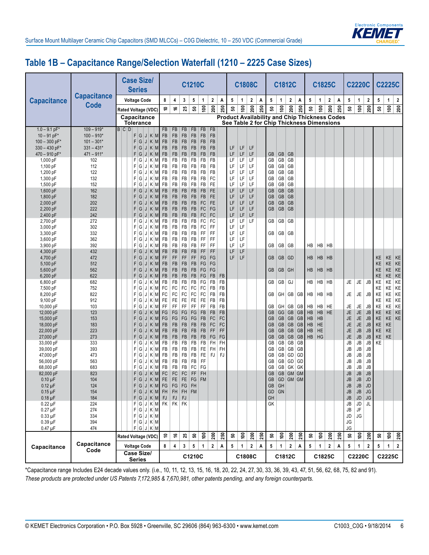

#### **Table 1B – Capacitance Range/Selection Waterfall (1210 – 2225 Case Sizes)**

|                                  |                              | <b>Case Size/</b><br><b>Series</b>                      |                        |                     |                        | C1210C          |                     |              |           |                 | <b>C1808C</b> |                |                                                           |                                                                                                   |               | C1812C               |                 |                  | C1825C                 |                         |     |                        | <b>C2220C</b>                          |                        |                 | <b>C2225C</b>   |                  |
|----------------------------------|------------------------------|---------------------------------------------------------|------------------------|---------------------|------------------------|-----------------|---------------------|--------------|-----------|-----------------|---------------|----------------|-----------------------------------------------------------|---------------------------------------------------------------------------------------------------|---------------|----------------------|-----------------|------------------|------------------------|-------------------------|-----|------------------------|----------------------------------------|------------------------|-----------------|-----------------|------------------|
| <b>Capacitance</b>               | <b>Capacitance</b>           | <b>Voltage Code</b>                                     | 8                      | 4                   | 3                      | 5               | 1                   | 2            | Α         | 5               | $\mathbf{1}$  | $\overline{2}$ | A                                                         | $5\phantom{.0}$                                                                                   | 1             | 2                    | Α               | 5                | 1                      | $\overline{\mathbf{2}}$ | Α   | 5                      | $\mathbf{1}$                           | 2                      | 5               | 1               | $\boldsymbol{2}$ |
|                                  | <b>Code</b>                  | Rated Voltage (VDC)                                     | ₽                      | ې                   | 25                     | ន               | $\epsilon$          | 200          | 250       | ន               | $\tilde{e}$   | 200            | 250                                                       | ន                                                                                                 | $\frac{6}{2}$ | 200                  | 250             | ន                | $\mathfrak{g}$         | 200                     | 250 | ន                      | $\epsilon$                             | $\mathbf{200}$         | ន               | 100             | 200              |
|                                  |                              | Capacitance<br>Tolerance                                |                        |                     |                        |                 |                     |              |           |                 |               |                |                                                           | <b>Product Availability and Chip Thickness Codes</b><br>See Table 2 for Chip Thickness Dimensions |               |                      |                 |                  |                        |                         |     |                        |                                        |                        |                 |                 |                  |
| $1.0 - 9.1$ pF*                  | $109 - 919*$                 | B C D                                                   | <b>FB</b>              | <b>FB</b>           | <b>FB</b>              | <b>FB</b>       | <b>FB</b>           | FB           |           |                 |               |                |                                                           |                                                                                                   |               |                      |                 |                  |                        |                         |     |                        |                                        |                        |                 |                 |                  |
| $10 - 91$ pF*                    | $100 - 910*$                 | F G <br>$J$ K M                                         | FB                     | FB                  | <b>FB</b>              | FB              | FB                  | FB           |           |                 |               |                |                                                           |                                                                                                   |               |                      |                 |                  |                        |                         |     |                        |                                        |                        |                 |                 |                  |
| $100 - 300$ pF*                  | $101 - 301*$                 | F G <br>$J$ K M                                         | FB                     | FB                  | <b>FB</b>              | FB              | FB                  | <b>FB</b>    |           |                 |               |                |                                                           |                                                                                                   |               |                      |                 |                  |                        |                         |     |                        |                                        |                        |                 |                 |                  |
| $330 - 430$ pF*<br>470 - 910 pF* | $331 - 431*$<br>$471 - 911*$ | F<br>K<br>$\vert M$<br>G<br>J<br>F G<br>K<br>M<br>J     | FB<br>FB               | FB<br>FB            | <b>FB</b><br><b>FB</b> | FB<br>FB        | FB<br><b>FB</b>     | FB<br>FB     |           | LF<br>LF        | LF<br>LF      | LF<br>LF       |                                                           | <b>GB</b>                                                                                         |               | GB   GB              |                 |                  |                        |                         |     |                        |                                        |                        |                 |                 |                  |
| 1,000 pF                         | 102                          | F G<br>K/M<br>J                                         | FB                     | FB                  | FB                     | FB              | FB                  | FB           |           | LF              | LF            | LF             |                                                           | GB                                                                                                | GB            | GB                   |                 |                  |                        |                         |     |                        |                                        |                        |                 |                 |                  |
| 1,100 pF                         | 112                          | FI<br>G<br>KM<br>J                                      | FB                     | FB                  | FB                     | FB              | FB                  | FB           |           | LF              | LF            | LF             |                                                           | GB                                                                                                | GB            | GB                   |                 |                  |                        |                         |     |                        |                                        |                        |                 |                 |                  |
| 1,200 pF                         | 122                          | G<br>KM<br>F.<br>$\mathsf{d}$ :                         | FB                     | FB                  | FB                     | FB              | FB                  | FB           |           | LF              | LF            | LF             |                                                           | GB                                                                                                | GB            | GB                   |                 |                  |                        |                         |     |                        |                                        |                        |                 |                 |                  |
| 1,300 pF                         | 132                          | F.<br>G<br>$J$ $K$ $M$                                  | FB                     | FB                  | FB                     | FB              | FB                  | FC           |           | LF              | LF            | LF             |                                                           | GB                                                                                                | GB            | GB                   |                 |                  |                        |                         |     |                        |                                        |                        |                 |                 |                  |
| 1,500 pF                         | 152                          | F G <br>$K$ M<br>J                                      | FB                     | FB                  | FB                     | FB              | FB                  | FE           |           | LF              | LF            | LF             |                                                           | GB                                                                                                | GB            | GB                   |                 |                  |                        |                         |     |                        |                                        |                        |                 |                 |                  |
| 1,600 pF                         | 162                          | $J$ $K$ $M$<br>F.<br>G                                  | <b>FB</b>              | FB                  | FB                     | FB              | FB                  | FE           |           | LF              | LF            | LF             |                                                           | GB                                                                                                | GB            | GB                   |                 |                  |                        |                         |     |                        |                                        |                        |                 |                 |                  |
| 1,800 pF                         | 182                          | $K$ M<br>F<br>G<br>J                                    | <b>FB</b>              | FB                  | <b>FB</b>              | FB              | FB                  | FE           |           | LF              | LF            | LF             |                                                           | GB                                                                                                | GB            | GB                   |                 |                  |                        |                         |     |                        |                                        |                        |                 |                 |                  |
| 2,000 pF                         | 202<br>222                   | F<br>K<br>G<br>$\vert M$<br>J                           | <b>FB</b><br><b>FB</b> | FB<br>FB            | <b>FB</b>              | FB<br><b>FB</b> | FC<br>FC            | FE<br>FG     |           | LF<br>LF        | LF<br>LF      | LF<br>LF       |                                                           | <b>GB</b><br><b>GB</b>                                                                            | GB            | GB<br>GB GB          |                 |                  |                        |                         |     |                        |                                        |                        |                 |                 |                  |
| 2,200 pF<br>2,400 pF             | 242                          | F.<br>G<br>$K$ M<br>J<br>F <br>G<br>Κ<br>$\vert M$<br>J | FB                     | FB                  | <b>FB</b><br><b>FB</b> | FB              | FC                  | FC           |           | LF              | LF            | LF             |                                                           |                                                                                                   |               |                      |                 |                  |                        |                         |     |                        |                                        |                        |                 |                 |                  |
| 2,700 pF                         | 272                          | Κ<br>M<br>F١<br>G<br>J                                  | FB                     | FB                  | FB                     | FB              | FC                  | FC           |           | LF              | LF            | LF             |                                                           | GB                                                                                                |               | GB   GB              |                 |                  |                        |                         |     |                        |                                        |                        |                 |                 |                  |
| 3,000 pF                         | 302                          | F G <br>K/M<br>J                                        | FB                     | FB                  | FB                     | FB              | FC                  | FF           |           | LF              | LF            |                |                                                           |                                                                                                   |               |                      |                 |                  |                        |                         |     |                        |                                        |                        |                 |                 |                  |
| 3,300 pF                         | 332                          | K/M<br>F١<br>G<br>J                                     | FB                     | FB                  | FB                     | FB              | FF                  | FF           |           | LF              | LF            |                |                                                           | GB                                                                                                | GB            | GB                   |                 |                  |                        |                         |     |                        |                                        |                        |                 |                 |                  |
| 3,600 pF                         | 362                          | G<br>$K$ M<br>FI<br>J                                   | FB                     | FB                  | FB                     | FB              | FF                  | FF           |           | LF              | LF            |                |                                                           |                                                                                                   |               |                      |                 |                  |                        |                         |     |                        |                                        |                        |                 |                 |                  |
| 3,900 pF                         | 392                          | F<br>G<br>$K \mid M$<br>J                               | FB                     | FB                  | FB                     | FB              | FF                  | FF           |           | LF              | LF            |                |                                                           | GB                                                                                                |               | GB   GB              |                 | HB               | HB                     | HB                      |     |                        |                                        |                        |                 |                 |                  |
| 4,300 pF                         | 432                          | F <br>G<br>$K$ M<br>J                                   | <b>FB</b>              | FB                  | <b>FB</b>              | <b>FB</b>       | FF                  | FF           |           | LF<br>LF        | LF<br>LF      |                |                                                           |                                                                                                   |               |                      |                 |                  |                        |                         |     |                        |                                        |                        |                 |                 |                  |
| 4,700 pF<br>5,100 pF             | 472<br>512                   | K<br>F<br>G<br>$\vert M$<br>J<br>F<br>$K$ M<br>G<br>J   | FF<br><b>FB</b>        | FF<br><b>FB</b>     | FF<br><b>FB</b>        | FF<br>FB        | FG<br>FG            | FG<br>FG     |           |                 |               |                |                                                           | <b>GB</b>                                                                                         |               | GB   GD              |                 | HB               | HB                     | HB                      |     |                        |                                        |                        | KE<br>KE        | KE<br>KE        | KE<br>KE         |
| 5,600 pF                         | 562                          | F<br>G<br>K/M<br>J                                      | FB                     | FB                  | <b>FB</b>              | FB              | FG                  | FG           |           |                 |               |                |                                                           | <b>GB</b>                                                                                         |               | GB GH                |                 | HB               | HB                     | HB                      |     |                        |                                        |                        | <b>KE</b>       | KE              | KE               |
| 6,200 pF                         | 622                          | F G<br>K<br>$\overline{\mathsf{M}}$<br>J                | <b>FB</b>              | FB                  | <b>FB</b>              | FB              | FG                  | FB           | <b>FB</b> |                 |               |                |                                                           |                                                                                                   |               |                      |                 |                  |                        |                         |     |                        |                                        |                        | <b>KE</b>       | <b>KE</b>       | KE               |
| 6,800 pF                         | 682                          | $K \mid M$<br>F١<br>G<br>J                              | FB                     | FB                  | FB                     | FB              | FG                  | FB           | FB        |                 |               |                |                                                           | GB                                                                                                | GB            | GJ                   |                 | HB               |                        | $HB$ HB                 |     | JE                     | JE                                     | JB                     | ΚE              | KE              | KE               |
| 7,500 pF                         | 752                          | F <br>G<br>K/M<br>J                                     | FC                     | $FC$                | FC                     | FC              | FC                  | FB           | FB        |                 |               |                |                                                           |                                                                                                   |               |                      |                 |                  |                        |                         |     |                        |                                        |                        | ΚE              | KE              | KE               |
| 8,200 pF                         | 822                          | F.<br>G<br>K/M<br>J                                     | FC                     | ${\sf FC}$          | FC                     | FC              | FC                  | FB           | FB        |                 |               |                |                                                           | GB                                                                                                | GH            | GB                   | GB              | HB               |                        | HB   HB                 |     | JE                     | JE                                     | JB                     | KE              | KE              | KE               |
| 9,100 pF                         | 912                          | G<br>KM<br>F.<br>J                                      | FE                     | FE                  | FE                     | FE              | FE                  | FB           | FB        |                 |               |                |                                                           |                                                                                                   |               |                      |                 |                  |                        |                         |     |                        |                                        |                        | ΚE              | KE              | KE               |
| 10,000 pF                        | 103                          | F G<br>K/M<br>J                                         | FF                     | $\mathsf{FF}% _{0}$ | $\mathsf{FF}% _{0}$    | FF              | $\mathsf{FF}% _{0}$ | FB           | FB        |                 |               |                |                                                           | GB                                                                                                | GH            | GB                   | GB              | HB               | HB                     | HE                      |     | JE                     | JE                                     | <b>JB</b>              | KE              | KE              | KE               |
| 12,000 pF                        | 123                          | $K$ M<br>F<br>G<br>J                                    | FG                     | FG                  | FG                     | FG              | FB                  | FB           | FB        |                 |               |                |                                                           | <b>GB</b>                                                                                         | GG            | GB                   | GB              | HB               | HB                     | HE                      |     | JE                     | <b>JE</b>                              | <b>JB</b>              | KE              | KE              | KE<br>KE         |
| 15,000 pF<br>18,000 pF           | 153<br>183                   | F<br>$K$ M<br>G<br>J<br>F<br>K/M<br>G<br>J              | FG<br><b>FB</b>        | FG<br>FB            | FG<br>FB               | FG<br>FB        | FB<br>FB            | FC<br>FC     | FC<br>FC  |                 |               |                |                                                           | <b>GB</b><br><b>GB</b>                                                                            | GB<br>GB      | GB<br>$\overline{G}$ | GB<br>GB        | HB<br>HB         | <b>HB</b><br><b>HE</b> |                         |     | JE<br><b>JE</b>        | <b>JE</b><br><b>JE</b>                 | <b>JB</b><br><b>JB</b> | KE<br><b>KE</b> | KE<br><b>KE</b> |                  |
| 22,000 pF                        | 223                          | F <br>G<br>Κ<br>$\overline{\mathsf{M}}$<br>J            | <b>FB</b>              | FB                  | FB                     | FB              | <b>FB</b>           | FF           | FF        |                 |               |                |                                                           | <b>GB</b>                                                                                         | <b>GB</b>     | GB                   | GB              | <b>HB</b>        | <b>HE</b>              |                         |     | <b>JE</b>              | <b>JB</b>                              | <b>JB</b>              | <b>KE</b>       | <b>KE</b>       |                  |
| 27,000 pF                        | 273                          | F <br>G<br>K<br>$\vert M$<br>J                          | FB                     | <b>FB</b>           | <b>FB</b>              | <b>FB</b>       | FB                  | FG           | FG        |                 |               |                |                                                           | <b>GB</b>                                                                                         | GB            | GB                   | GB              | HB               | <b>HG</b>              |                         |     | <b>JE</b>              | <b>JB</b>                              | <b>JB</b>              | KE              | <b>KE</b>       |                  |
| 33,000 pF                        | 333                          | $K \mid M$<br>F١<br>G<br>J                              | FB                     | FB                  | FB                     | FB              | FB                  | FH           | FH        |                 |               |                |                                                           | GB                                                                                                | GB            | GB                   | GB              |                  |                        |                         |     | JB                     | JB                                     | JB                     | KE              |                 |                  |
| 39,000 pF                        | 393                          | G<br>K/M<br>FI<br>J                                     | FB                     | FB                  | FB                     | FB              | FE                  | FH           | FH        |                 |               |                |                                                           | GB                                                                                                | GB            | GB                   | GB              |                  |                        |                         |     | JB                     | JB                                     | JB                     |                 |                 |                  |
| 47,000 pF                        | 473                          | G<br>$K$ M<br>F.<br>J                                   | <b>FB</b>              | FB                  | FB                     | FB              | FE                  | FJ           | FJ        |                 |               |                |                                                           | GB                                                                                                | GB            | GD                   | GD              |                  |                        |                         |     | <b>JB</b>              | JB                                     | <b>JB</b>              |                 |                 |                  |
| 56,000 pF                        | 563                          | G<br>$K$ M<br>F١<br>J                                   | <b>FB</b>              | FB                  | FB                     | FB              | FF                  |              |           |                 |               |                |                                                           | GB                                                                                                | GB            | GD                   | GD              |                  |                        |                         |     | <b>JB</b>              | JB                                     | JB                     |                 |                 |                  |
| 68,000 pF<br>82,000 pF           | 683<br>823                   | F<br>G<br>Κ<br>M<br>J<br>F.<br>$J$ K M                  | FB<br><b>FC</b>        | FB<br>FC            | FB<br>FC               | FC<br>FF        | FG<br>FH            |              |           |                 |               |                |                                                           | GB<br>GB                                                                                          | GB<br>GB      | GK<br>GM             | GK<br><b>GM</b> |                  |                        |                         |     | <b>JB</b><br><b>JB</b> | <b>JB</b><br><b>JB</b>                 | <b>JB</b><br><b>JB</b> |                 |                 |                  |
| $0.10 \mu F$                     | 104                          | G<br>F<br>$J$ $K$ $M$<br>G                              | FE                     | <b>FE</b>           | <b>FE</b>              | FG              | <b>FM</b>           |              |           |                 |               |                |                                                           | GB                                                                                                |               | GD   GM   GM         |                 |                  |                        |                         |     | <b>JB</b>              | JB                                     | JD                     |                 |                 |                  |
| $0.12 \mu F$                     | 124                          | $J$ K M FG<br>F G                                       |                        | $\mathsf{FG}$       | $\mathsf{FG}$          | FH              |                     |              |           |                 |               |                |                                                           |                                                                                                   | $GB$ GH       |                      |                 |                  |                        |                         |     | ${\sf JB}$             | ${\sf JB}$                             | JD                     |                 |                 |                  |
| $0.15 \mu F$                     | 154                          | F G J K M FH                                            |                        |                     | $FH$ $FH$ $FM$         |                 |                     |              |           |                 |               |                |                                                           |                                                                                                   | $GD$ $GN$     |                      |                 |                  |                        |                         |     | $\mathsf{JB}$          | $\mathsf{JB}\,$                        | $\mathsf{J}\mathsf{G}$ |                 |                 |                  |
| $0.18 \mu F$                     | 184                          | F G J K M FJ                                            |                        | FJ                  | FJ                     |                 |                     |              |           |                 |               |                |                                                           | GH                                                                                                |               |                      |                 |                  |                        |                         |     | ${\sf JB}$             | JD                                     | <b>JG</b>              |                 |                 |                  |
| $0.22 \mu F$                     | 224                          | $F G J K M$ FK FK FK                                    |                        |                     |                        |                 |                     |              |           |                 |               |                |                                                           | GK                                                                                                |               |                      |                 |                  |                        |                         |     | JB                     | JD                                     | JL                     |                 |                 |                  |
| $0.27 \mu F$                     | 274                          | F G J K M                                               |                        |                     |                        |                 |                     |              |           |                 |               |                |                                                           |                                                                                                   |               |                      |                 |                  |                        |                         |     | JB                     | JF                                     |                        |                 |                 |                  |
| $0.33 \mu F$                     | 334                          | F G J K M                                               |                        |                     |                        |                 |                     |              |           |                 |               |                |                                                           |                                                                                                   |               |                      |                 |                  |                        |                         |     | JD                     | JG                                     |                        |                 |                 |                  |
| $0.39 \mu F$<br>$0.47 \mu F$     | 394<br>474                   | F G J K M<br>F G J K M                                  |                        |                     |                        |                 |                     |              |           |                 |               |                |                                                           |                                                                                                   |               |                      |                 |                  |                        |                         |     | JG<br>JG               |                                        |                        |                 |                 |                  |
|                                  |                              | Rated Voltage (VDC)                                     | $\epsilon$             | ې                   | 25                     | 5 <sup>o</sup>  | $\mathfrak{S}$      | 200          | 250       | ន               | $\frac{6}{2}$ |                | $\begin{array}{c c} \hline 200 \\ \hline 250 \end{array}$ | ន                                                                                                 | $\mathsf{S}$  | 200                  | 250             | ន                | $\frac{6}{2}$          | $\frac{8}{20}$          | 250 | ន                      | $\overline{\phantom{0}}^{\phantom{0}}$ | 200                    | ន               |                 | $\frac{8}{2}$    |
| Capacitance                      | Capacitance                  | <b>Voltage Code</b>                                     | 8                      | 4                   | 3                      | 5               | $\mathbf{1}$        | $\mathbf{2}$ | Α         | $5\phantom{.0}$ | $\mathbf{1}$  | 2              | Α                                                         | 5                                                                                                 | 1             | $\mathbf{2}$         | Α               | $\boldsymbol{5}$ | $\mathbf{1}$           | $\overline{2}$          | Α   | 5                      | $\mathbf{1}$                           | $\overline{2}$         | 5               | $\mathbf{1}$    | $\overline{2}$   |
|                                  | Code                         | Case Size/                                              |                        |                     |                        | C1210C          |                     |              |           |                 | C1808C        |                |                                                           |                                                                                                   |               | C1812C               |                 |                  | C1825C                 |                         |     |                        | C2220C                                 |                        |                 | C2225C          |                  |
|                                  |                              | <b>Series</b>                                           |                        |                     |                        |                 |                     |              |           |                 |               |                |                                                           |                                                                                                   |               |                      |                 |                  |                        |                         |     |                        |                                        |                        |                 |                 |                  |

\*Capacitance range Includes E24 decade values only. (i.e., 10, 11, 12, 13, 15, 16, 18, 20, 22, 24, 27, 30, 33, 36, 39, 43, 47, 51, 56, 62, 68, 75, 82 and 91). *These products are protected under US Patents 7,172,985 & 7,670,981, other patents pending, and any foreign counterparts.*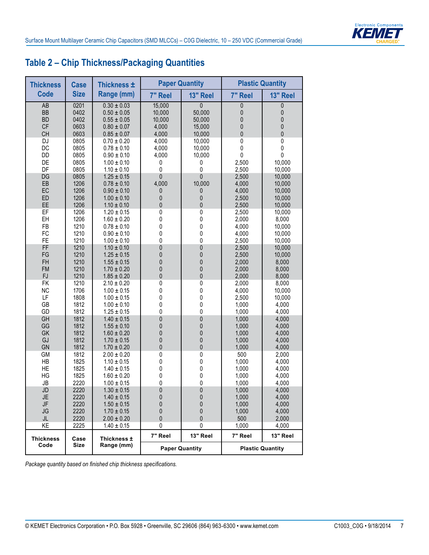

# **Table 2 – Chip Thickness/Packaging Quantities**

| <b>Thickness</b>         | <b>Case</b>  | Thickness ±               |                | <b>Paper Quantity</b> |                  | <b>Plastic Quantity</b> |
|--------------------------|--------------|---------------------------|----------------|-----------------------|------------------|-------------------------|
| <b>Code</b>              | <b>Size</b>  | Range (mm)                | 7" Reel        | 13" Reel              | 7" Reel          | 13" Reel                |
| AB                       | 0201         | $0.30 \pm 0.03$           | 15,000         | $\mathbf{0}$          | 0                | 0                       |
| <b>BB</b>                | 0402         | $0.50 \pm 0.05$           | 10,000         | 50,000                | 0                | 0                       |
| <b>BD</b>                | 0402         | $0.55 \pm 0.05$           | 10,000         | 50,000                | 0                | $\pmb{0}$               |
| <b>CF</b>                | 0603         | $0.80 \pm 0.07$           | 4,000          | 15,000                | 0                | $\pmb{0}$               |
| CH                       | 0603         | $0.85 \pm 0.07$           | 4,000          | 10,000                | 0                | $\pmb{0}$               |
| DJ                       | 0805         | $0.70 \pm 0.20$           | 4,000          | 10,000                | 0                | 0                       |
| DC                       | 0805         | $0.78 \pm 0.10$           | 4,000          | 10,000                | $\pmb{0}$        | $\pmb{0}$               |
| DD                       | 0805         | $0.90 \pm 0.10$           | 4,000          | 10,000                | $\pmb{0}$        | $\pmb{0}$               |
| DE                       | 0805         | $1.00 \pm 0.10$           | 0              | 0                     | 2,500            | 10,000                  |
| DF                       | 0805         | $1.10 \pm 0.10$           | 0              | $\mathbf 0$           | 2,500            | 10,000                  |
| DG                       | 0805         | $1.25 \pm 0.15$           | $\mathbf 0$    | 0                     | 2,500            | 10,000                  |
| EB                       | 1206         | $0.78 \pm 0.10$           | 4,000          | 10,000                | 4,000            | 10,000                  |
| EC                       | 1206         | $0.90 \pm 0.10$           | 0              | 0                     | 4,000            | 10,000                  |
| ED                       | 1206         | $1.00 \pm 0.10$           | 0              | $\pmb{0}$             | 2,500            | 10,000                  |
| EE                       | 1206         | $1.10 \pm 0.10$           | 0              | $\mathbf 0$           | 2,500            | 10,000                  |
| EF                       | 1206         | $1.20 \pm 0.15$           | 0              | $\pmb{0}$             | 2,500            | 10,000                  |
| EH                       | 1206         | $1.60 \pm 0.20$           | 0              | $\pmb{0}$             | 2,000            | 8,000                   |
| FB                       | 1210         | $0.78 \pm 0.10$           | 0              | $\pmb{0}$             | 4,000            | 10,000                  |
| FC                       | 1210         | $0.90 \pm 0.10$           | 0              | $\pmb{0}$             | 4,000            | 10,000                  |
| FE                       | 1210         | $1.00 \pm 0.10$           | 0              | $\mathbf 0$           | 2,500            | 10,000                  |
| FF                       | 1210         | $1.10 \pm 0.10$           | 0              | 0                     | 2,500            | 10,000                  |
| FG                       | 1210         | $1.25 \pm 0.15$           | 0              | $\mathbf 0$           | 2,500            | 10,000                  |
| FH                       | 1210         | $1.55 \pm 0.15$           | $\overline{0}$ | $\mathbf 0$           | 2,000            | 8,000                   |
| <b>FM</b>                | 1210         | $1.70 \pm 0.20$           | 0              | 0                     | 2,000            | 8,000                   |
| <b>FJ</b>                | 1210         | $1.85 \pm 0.20$           | 0              | $\mathbf{0}$          | 2,000            | 8,000                   |
| <b>FK</b>                | 1210         | $2.10 \pm 0.20$           | 0              | 0                     | 2,000            | 8,000                   |
| <b>NC</b>                | 1706         | $1.00 \pm 0.15$           | 0              | $\pmb{0}$             | 4,000            | 10,000                  |
| LF                       | 1808         | $1.00 \pm 0.15$           | 0              | 0                     | 2,500            | 10,000                  |
| GB                       | 1812         | $1.00 \pm 0.10$           | 0              | $\pmb{0}$             | 1,000            | 4,000                   |
| GD                       | 1812         | $1.25 \pm 0.15$           | 0              | $\pmb{0}$             | 1,000            | 4,000                   |
| GH                       | 1812         | $1.40 \pm 0.15$           | 0              | 0                     | 1,000            | 4,000                   |
| GG                       | 1812         | $1.55 \pm 0.10$           | 0              | 0                     | 1,000            | 4,000                   |
| GK                       | 1812         | $1.60 \pm 0.20$           | 0              | $\mathbf 0$           | 1,000            | 4,000                   |
| GJ                       | 1812         | $1.70 \pm 0.15$           | 0              | $\mathbf{0}$          | 1,000            | 4,000                   |
| GN                       | 1812         | $1.70 \pm 0.20$           | 0              | $\mathbf 0$           | 1,000            | 4,000                   |
| <b>GM</b>                | 1812         | $2.00 \pm 0.20$           | 0              | 0                     | 500              | 2,000                   |
| HB                       | 1825         | $1.10 \pm 0.15$           | 0              | $\pmb{0}$             | 1,000            | 4,000                   |
| HE                       | 1825         | $1.40 \pm 0.15$           | 0              | 0                     | 1,000            | 4,000                   |
| HG                       | 1825         | $1.60 \pm 0.20$           | 0              | $\pmb{0}$             | 1,000            | 4,000                   |
| JB                       | 2220         | $1.00 \pm 0.15$           | 0              | $\pmb{0}$             | 1,000            | 4,000                   |
| JD                       | 2220         | $1.30 \pm 0.15$           | 0              | 0                     | 1,000            | 4,000                   |
| JE                       | 2220         | $1.40 \pm 0.15$           | 0              | 0                     | 1,000            | 4,000                   |
| JF                       | 2220         | $1.50 \pm 0.15$           | 0              | 0                     | 1,000            | 4,000                   |
| JG                       | 2220         | $1.70 \pm 0.15$           | 0              | 0                     | 1,000            | 4,000                   |
| JL                       | 2220         | $2.00 \pm 0.20$           | 0              | $\mathbf{0}$          | 500              | 2,000                   |
| KE                       | 2225         | $1.40 \pm 0.15$           | 0<br>7" Reel   | 0<br>13" Reel         | 1,000<br>7" Reel | 4,000<br>13" Reel       |
| <b>Thickness</b><br>Code | Case<br>Size | Thickness ±<br>Range (mm) |                | <b>Paper Quantity</b> |                  | <b>Plastic Quantity</b> |

*Package quantity based on finished chip thickness specifications.*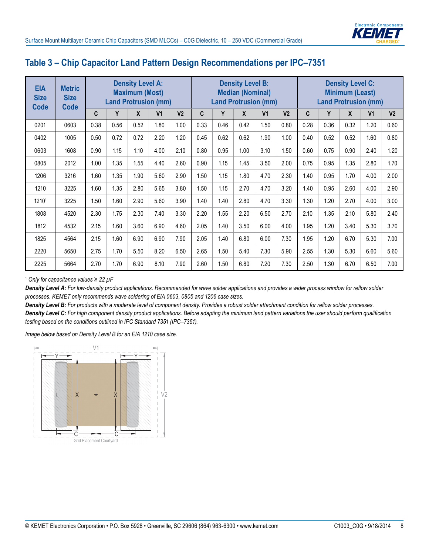

#### **Table 3 – Chip Capacitor Land Pattern Design Recommendations per IPC–7351**

| <b>EIA</b><br><b>Size</b><br><b>Code</b> | <b>Metric</b><br><b>Size</b><br><b>Code</b> |      |      | <b>Density Level A:</b><br><b>Maximum (Most)</b><br><b>Land Protrusion (mm)</b> |                |                |      |      | <b>Density Level B:</b><br><b>Median (Nominal)</b> | <b>Land Protrusion (mm)</b> |                |      | <b>Land Protrusion (mm)</b> | <b>Density Level C:</b><br><b>Minimum (Least)</b> |                |                |
|------------------------------------------|---------------------------------------------|------|------|---------------------------------------------------------------------------------|----------------|----------------|------|------|----------------------------------------------------|-----------------------------|----------------|------|-----------------------------|---------------------------------------------------|----------------|----------------|
|                                          |                                             | C    | Y    | X                                                                               | V <sub>1</sub> | V <sub>2</sub> | C    | Y    | X                                                  | V <sub>1</sub>              | V <sub>2</sub> | C    | Y                           | X                                                 | V <sub>1</sub> | V <sub>2</sub> |
| 0201                                     | 0603                                        | 0.38 | 0.56 | 0.52                                                                            | 1.80           | 1.00           | 0.33 | 0.46 | 0.42                                               | 1.50                        | 0.80           | 0.28 | 0.36                        | 0.32                                              | 1.20           | 0.60           |
| 0402                                     | 1005                                        | 0.50 | 0.72 | 0.72                                                                            | 2.20           | 1.20           | 0.45 | 0.62 | 0.62                                               | 1.90                        | 1.00           | 0.40 | 0.52                        | 0.52                                              | 1.60           | 0.80           |
| 0603                                     | 1608                                        | 0.90 | 1.15 | 1.10                                                                            | 4.00           | 2.10           | 0.80 | 0.95 | 1.00                                               | 3.10                        | 1.50           | 0.60 | 0.75                        | 0.90                                              | 2.40           | 1.20           |
| 0805                                     | 2012                                        | 1.00 | 1.35 | 1.55                                                                            | 4.40           | 2.60           | 0.90 | 1.15 | 1.45                                               | 3.50                        | 2.00           | 0.75 | 0.95                        | 1.35                                              | 2.80           | 1.70           |
| 1206                                     | 3216                                        | 1.60 | 1.35 | 1.90                                                                            | 5.60           | 2.90           | 1.50 | 1.15 | 1.80                                               | 4.70                        | 2.30           | 1.40 | 0.95                        | 1.70                                              | 4.00           | 2.00           |
| 1210                                     | 3225                                        | 1.60 | 1.35 | 2.80                                                                            | 5.65           | 3.80           | 1.50 | 1.15 | 2.70                                               | 4.70                        | 3.20           | 1.40 | 0.95                        | 2.60                                              | 4.00           | 2.90           |
| 12101                                    | 3225                                        | 1.50 | 1.60 | 2.90                                                                            | 5.60           | 3.90           | 1.40 | 1.40 | 2.80                                               | 4.70                        | 3.30           | 1.30 | 1.20                        | 2.70                                              | 4.00           | 3.00           |
| 1808                                     | 4520                                        | 2.30 | 1.75 | 2.30                                                                            | 7.40           | 3.30           | 2.20 | 1.55 | 2.20                                               | 6.50                        | 2.70           | 2.10 | 1.35                        | 2.10                                              | 5.80           | 2.40           |
| 1812                                     | 4532                                        | 2.15 | 1.60 | 3.60                                                                            | 6.90           | 4.60           | 2.05 | 1.40 | 3.50                                               | 6.00                        | 4.00           | 1.95 | 1.20                        | 3.40                                              | 5.30           | 3.70           |
| 1825                                     | 4564                                        | 2.15 | 1.60 | 6.90                                                                            | 6.90           | 7.90           | 2.05 | 1.40 | 6.80                                               | 6.00                        | 7.30           | 1.95 | 1.20                        | 6.70                                              | 5.30           | 7.00           |
| 2220                                     | 5650                                        | 2.75 | 1.70 | 5.50                                                                            | 8.20           | 6.50           | 2.65 | 1.50 | 5.40                                               | 7.30                        | 5.90           | 2.55 | 1.30                        | 5.30                                              | 6.60           | 5.60           |
| 2225                                     | 5664                                        | 2.70 | 1.70 | 6.90                                                                            | 8.10           | 7.90           | 2.60 | 1.50 | 6.80                                               | 7.20                        | 7.30           | 2.50 | 1.30                        | 6.70                                              | 6.50           | 7.00           |

<sup>1</sup> *Only for capacitance values ≥ 22 µF*

*Density Level A: For low-density product applications. Recommended for wave solder applications and provides a wider process window for reflow solder processes. KEMET only recommends wave soldering of EIA 0603, 0805 and 1206 case sizes.*

*Density Level B: For products with a moderate level of component density. Provides a robust solder attachment condition for reflow solder processes. Density Level C: For high component density product applications. Before adapting the minimum land pattern variations the user should perform qualification testing based on the conditions outlined in IPC Standard 7351 (IPC–7351).*

*Image below based on Density Level B for an EIA 1210 case size.*

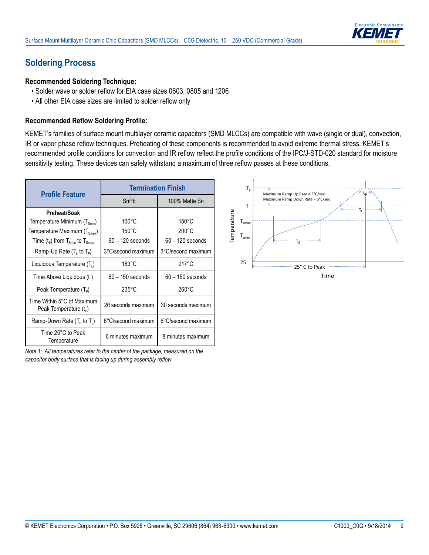

#### **Soldering Process**

#### **Recommended Soldering Technique:**

- Solder wave or solder reflow for EIA case sizes 0603, 0805 and 1206
- All other EIA case sizes are limited to solder reflow only

#### **Recommended Reflow Soldering Profile:**

KEMET's families of surface mount multilayer ceramic capacitors (SMD MLCCs) are compatible with wave (single or dual), convection, IR or vapor phase reflow techniques. Preheating of these components is recommended to avoid extreme thermal stress. KEMET's recommended profile conditions for convection and IR reflow reflect the profile conditions of the IPC/J-STD-020 standard for moisture sensitivity testing. These devices can safely withstand a maximum of three reflow passes at these conditions.

| <b>Profile Feature</b>                                   |                    | <b>Termination Finish</b> |
|----------------------------------------------------------|--------------------|---------------------------|
|                                                          | SnPb               | 100% Matte Sn             |
| Preheat/Soak                                             |                    |                           |
| Temperature Minimum $(T_{\text{spin}})$                  | $100^{\circ}$ C    | $150^{\circ}$ C           |
| Temperature Maximum (T <sub>Smax</sub> )                 | $150^{\circ}$ C    | $200^{\circ}$ C           |
| Time $(t_s)$ from $T_{s_{min}}$ to $T_{s_{max}}$         | $60 - 120$ seconds | $60 - 120$ seconds        |
| Ramp-Up Rate $(T_1$ to $T_p)$                            | 3°C/second maximum | 3°C/second maximum        |
| Liquidous Temperature $(T_1)$                            | $183^{\circ}$ C    | $217^\circ C$             |
| Time Above Liquidous (t <sub>i</sub> )                   | $60 - 150$ seconds | $60 - 150$ seconds        |
| Peak Temperature $(T_{\rm p})$                           | $235^{\circ}$ C    | $260^{\circ}$ C           |
| Time Within 5°C of Maximum<br>Peak Temperature $(t_{p})$ | 20 seconds maximum | 30 seconds maximum        |
| Ramp-Down Rate $(T_P$ to $T_L$ )                         | 6°C/second maximum | 6°C/second maximum        |
| Time 25°C to Peak<br>Temperature                         | 6 minutes maximum  | 8 minutes maximum         |

*Note 1: All temperatures refer to the center of the package, measured on the capacitor body surface that is facing up during assembly reflow.*

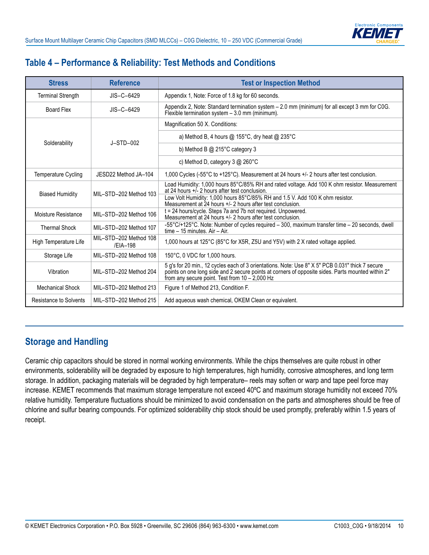

## **Table 4 – Performance & Reliability: Test Methods and Conditions**

| <b>Stress</b>              | <b>Reference</b>                   | <b>Test or Inspection Method</b>                                                                                                                                                                                                                        |
|----------------------------|------------------------------------|---------------------------------------------------------------------------------------------------------------------------------------------------------------------------------------------------------------------------------------------------------|
| <b>Terminal Strength</b>   | $JIS-C-6429$                       | Appendix 1, Note: Force of 1.8 kg for 60 seconds.                                                                                                                                                                                                       |
| <b>Board Flex</b>          | $JIS-C-6429$                       | Appendix 2, Note: Standard termination system - 2.0 mm (minimum) for all except 3 mm for C0G.<br>Flexible termination system - 3.0 mm (minimum).                                                                                                        |
|                            |                                    | Magnification 50 X. Conditions:                                                                                                                                                                                                                         |
| Solderability              | $J-STD-002$                        | a) Method B, 4 hours @ 155°C, dry heat @ 235°C                                                                                                                                                                                                          |
|                            |                                    | b) Method B $@$ 215 $°C$ category 3                                                                                                                                                                                                                     |
|                            |                                    | c) Method D, category $3 \text{ @ } 260^{\circ}$ C                                                                                                                                                                                                      |
| <b>Temperature Cycling</b> | JESD22 Method JA-104               | 1,000 Cycles (-55°C to +125°C). Measurement at 24 hours +/- 2 hours after test conclusion.                                                                                                                                                              |
|                            |                                    | Load Humidity: 1,000 hours 85°C/85% RH and rated voltage. Add 100 K ohm resistor. Measurement<br>at 24 hours $+i$ - 2 hours after test conclusion.                                                                                                      |
| <b>Biased Humidity</b>     | MII-STD-202 Method 103             | Low Volt Humidity: 1,000 hours 85°C/85% RH and 1.5 V. Add 100 K ohm resistor.<br>Measurement at 24 hours +/- 2 hours after test conclusion.                                                                                                             |
| Moisture Resistance        | MII-STD-202 Method 106             | t = 24 hours/cycle. Steps 7a and 7b not required. Unpowered.<br>Measurement at 24 hours +/- 2 hours after test conclusion.                                                                                                                              |
| <b>Thermal Shock</b>       | MIL-STD-202 Method 107             | -55°C/+125°C. Note: Number of cycles required - 300, maximum transfer time - 20 seconds, dwell<br>time $-15$ minutes. Air $-$ Air.                                                                                                                      |
| High Temperature Life      | MIL-STD-202 Method 108<br>/EIA-198 | 1,000 hours at 125°C (85°C for X5R, Z5U and Y5V) with 2 X rated voltage applied.                                                                                                                                                                        |
| Storage Life               | MIL-STD-202 Method 108             | 150°C, 0 VDC for 1,000 hours.                                                                                                                                                                                                                           |
| Vibration                  | MIL-STD-202 Method 204             | 5 g's for 20 min., 12 cycles each of 3 orientations. Note: Use 8" X 5" PCB 0.031" thick 7 secure<br>points on one long side and 2 secure points at corners of opposite sides. Parts mounted within 2"<br>from any secure point. Test from 10 - 2,000 Hz |
| <b>Mechanical Shock</b>    | MIL-STD-202 Method 213             | Figure 1 of Method 213, Condition F.                                                                                                                                                                                                                    |
| Resistance to Solvents     | MIL-STD-202 Method 215             | Add aqueous wash chemical, OKEM Clean or equivalent.                                                                                                                                                                                                    |

#### **Storage and Handling**

Ceramic chip capacitors should be stored in normal working environments. While the chips themselves are quite robust in other environments, solderability will be degraded by exposure to high temperatures, high humidity, corrosive atmospheres, and long term storage. In addition, packaging materials will be degraded by high temperature– reels may soften or warp and tape peel force may increase. KEMET recommends that maximum storage temperature not exceed 40ºC and maximum storage humidity not exceed 70% relative humidity. Temperature fluctuations should be minimized to avoid condensation on the parts and atmospheres should be free of chlorine and sulfur bearing compounds. For optimized solderability chip stock should be used promptly, preferably within 1.5 years of receipt.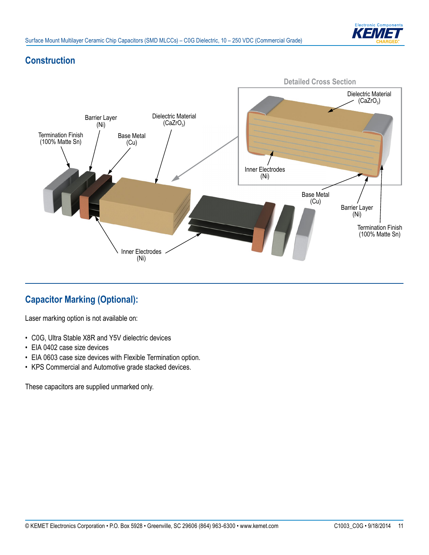

## **Construction**



# **Capacitor Marking (Optional):**

Laser marking option is not available on:

- • C0G, Ultra Stable X8R and Y5V dielectric devices
- EIA 0402 case size devices
- EIA 0603 case size devices with Flexible Termination option.
- KPS Commercial and Automotive grade stacked devices.

These capacitors are supplied unmarked only.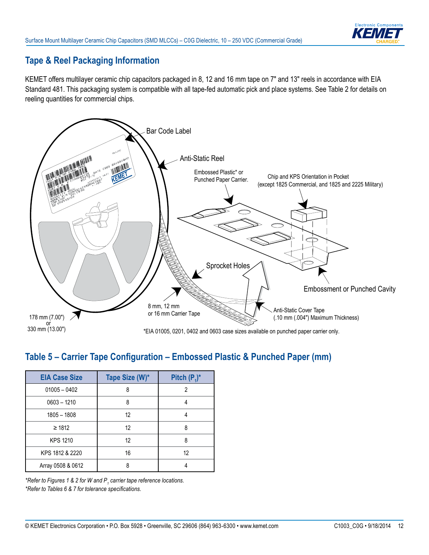

## **Tape & Reel Packaging Information**

KEMET offers multilayer ceramic chip capacitors packaged in 8, 12 and 16 mm tape on 7" and 13" reels in accordance with EIA Standard 481. This packaging system is compatible with all tape-fed automatic pick and place systems. See Table 2 for details on reeling quantities for commercial chips.



#### Table 5 – Carrier Tape Configuration – Embossed Plastic & Punched Paper (mm)

| <b>EIA Case Size</b> | Tape Size (W)* | Pitch $(P_1)^*$ |
|----------------------|----------------|-----------------|
| $01005 - 0402$       | ጸ              | 2               |
| $0603 - 1210$        | 8              |                 |
| $1805 - 1808$        | 12             |                 |
| $\geq 1812$          | 12             | 8               |
| <b>KPS 1210</b>      | 12             | 8               |
| KPS 1812 & 2220      | 16             | 12              |
| Array 0508 & 0612    |                |                 |

*\*Refer to Figures 1 & 2 for W and P<sup>1</sup> carrier tape reference locations. \*Refer to Tables 6 & 7 for tolerance specifi cations.*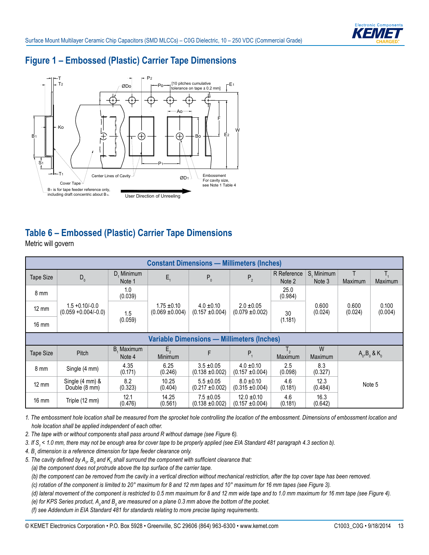

## **Figure 1 – Embossed (Plastic) Carrier Tape Dimensions**



#### **Table 6 – Embossed (Plastic) Carrier Tape Dimensions**

Metric will govern

| <b>Constant Dimensions — Millimeters (Inches)</b> |                                              |                         |                                        |                                     |                                       |                       |                      |                       |                  |
|---------------------------------------------------|----------------------------------------------|-------------------------|----------------------------------------|-------------------------------------|---------------------------------------|-----------------------|----------------------|-----------------------|------------------|
| Tape Size                                         | $D_0$                                        | D, Minimum<br>Note 1    | $E_{1}$                                | $P_0$                               | P <sub>2</sub>                        | R Reference<br>Note 2 | S. Minimum<br>Note 3 | Maximum               | Т,<br>Maximum    |
| 8 mm                                              | $1.5 + 0.10/-0.0$<br>$(0.059 + 0.004/- 0.0)$ | 1.0<br>(0.039)          |                                        | $4.0 \pm 0.10$<br>$(0.157 + 0.004)$ | $2.0 \pm 0.05$<br>$(0.079 \pm 0.002)$ | 25.0<br>(0.984)       | 0.600<br>(0.024)     | 0.600<br>(0.024)      | 0.100<br>(0.004) |
| $12 \text{ mm}$                                   |                                              | 1.5                     | $1.75 \pm 0.10$<br>$(0.069 \pm 0.004)$ |                                     |                                       | 30                    |                      |                       |                  |
| $16 \text{ mm}$                                   |                                              | (0.059)                 | (1.181)                                |                                     |                                       |                       |                      |                       |                  |
| <b>Variable Dimensions - Millimeters (Inches)</b> |                                              |                         |                                        |                                     |                                       |                       |                      |                       |                  |
| <b>Tape Size</b>                                  | Pitch                                        | Maximum<br>В.<br>Note 4 | $E_{2}$<br><b>Minimum</b>              | F                                   | $P_{1}$                               | Τ,<br>Maximum         | W<br>Maximum         | $A_0$ , $B_0$ & $K_0$ |                  |
| $8 \text{ mm}$                                    | Single (4 mm)                                | 4.35<br>(0.171)         | 6.25<br>(0.246)                        | $3.5 \pm 0.05$<br>$(0.138 + 0.002)$ | $4.0 \pm 0.10$<br>$(0.157 + 0.004)$   | 2.5<br>(0.098)        | 8.3<br>(0.327)       |                       |                  |
| $12 \text{ mm}$                                   |                                              | 8.2                     | 10.25                                  | $5.5 \pm 0.05$                      | $8.0 \pm 0.10$                        | 4.6                   | 12.3                 | Note 5                |                  |
|                                                   | Single (4 mm) &<br>Double (8 mm)             | (0.323)                 | (0.404)                                | $(0.217 \pm 0.002)$                 | $(0.315 \pm 0.004)$                   | (0.181)               | (0.484)              |                       |                  |

*1. The embossment hole location shall be measured from the sprocket hole controlling the location of the embossment. Dimensions of embossment location and hole location shall be applied independent of each other.*

*2. The tape with or without components shall pass around R without damage (see Figure 6).*

*3. If S1 < 1.0 mm, there may not be enough area for cover tape to be properly applied (see EIA Standard 481 paragraph 4.3 section b).*

*4. B<sup>1</sup> dimension is a reference dimension for tape feeder clearance only.*

5. The cavity defined by  $\bm A_o$ ,  $\bm B_o$  and  $\bm {\sf K}_o$  shall surround the component with sufficient clearance that:

 *(a) the component does not protrude above the top surface of the carrier tape.*

 *(b) the component can be removed from the cavity in a vertical direction without mechanical restriction, after the top cover tape has been removed.*

 *(c) rotation of the component is limited to 20° maximum for 8 and 12 mm tapes and 10° maximum for 16 mm tapes (see Figure 3).*

 *(d) lateral movement of the component is restricted to 0.5 mm maximum for 8 and 12 mm wide tape and to 1.0 mm maximum for 16 mm tape (see Figure 4).*

(e) for KPS Series product,  $A_o$  and  $B_o$  are measured on a plane 0.3 mm above the bottom of the pocket.

 *(f) see Addendum in EIA Standard 481 for standards relating to more precise taping requirements.*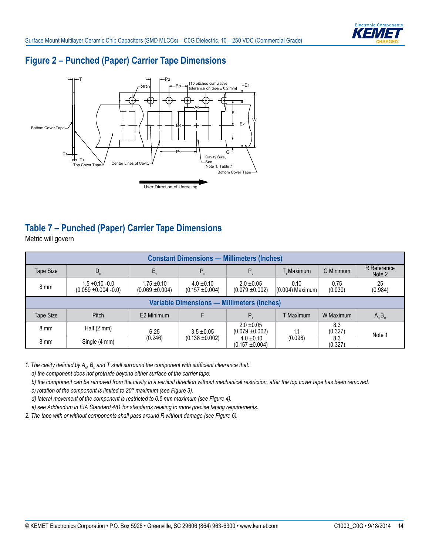

## **Figure 2 – Punched (Paper) Carrier Tape Dimensions**



# **Table 7 – Punched (Paper) Carrier Tape Dimensions**

Metric will govern

| <b>Constant Dimensions - Millimeters (Inches)</b> |                                               |                                        |                                     |                                       |                           |                 |                       |  |  |
|---------------------------------------------------|-----------------------------------------------|----------------------------------------|-------------------------------------|---------------------------------------|---------------------------|-----------------|-----------------------|--|--|
| Tape Size                                         | $D_0$                                         |                                        | $P_0$                               | $P_{2}$                               | T. Maximum                | G Minimum       | R Reference<br>Note 2 |  |  |
| 8 mm                                              | $1.5 + 0.10 - 0.0$<br>$(0.059 + 0.004 - 0.0)$ | $1.75 \pm 0.10$<br>$(0.069 \pm 0.004)$ | $4.0 \pm 0.10$<br>$(0.157 + 0.004)$ | $2.0 \pm 0.05$<br>$(0.079 \pm 0.002)$ | 0.10<br>$(0.004)$ Maximum | 0.75<br>(0.030) | 25<br>(0.984)         |  |  |
| <b>Variable Dimensions - Millimeters (Inches)</b> |                                               |                                        |                                     |                                       |                           |                 |                       |  |  |
| Tape Size                                         | Pitch                                         | E2 Minimum                             |                                     | P.                                    | T Maximum                 | W Maximum       | $A_0B_0$              |  |  |
| 8 mm                                              | Half $(2 \text{ mm})$                         | 6.25                                   | $3.5 \pm 0.05$                      | $2.0 \pm 0.05$<br>$(0.079 \pm 0.002)$ | 1.1                       | 8.3<br>(0.327)  | Note 1                |  |  |
| 8 mm                                              | Single (4 mm)                                 | (0.246)                                | $(0.138 \pm 0.002)$                 | $4.0 \pm 0.10$<br>$(0.157 + 0.004)$   | (0.098)                   | 8.3<br>(0.327)  |                       |  |  |

1. The cavity defined by  $A_{o}$ ,  $B_{o}$  and T shall surround the component with sufficient clearance that:

 *a) the component does not protrude beyond either surface of the carrier tape.*

 *b) the component can be removed from the cavity in a vertical direction without mechanical restriction, after the top cover tape has been removed.*

 *c) rotation of the component is limited to 20° maximum (see Figure 3).*

 *d) lateral movement of the component is restricted to 0.5 mm maximum (see Figure 4).*

 *e) see Addendum in EIA Standard 481 for standards relating to more precise taping requirements.*

*2. The tape with or without components shall pass around R without damage (see Figure 6).*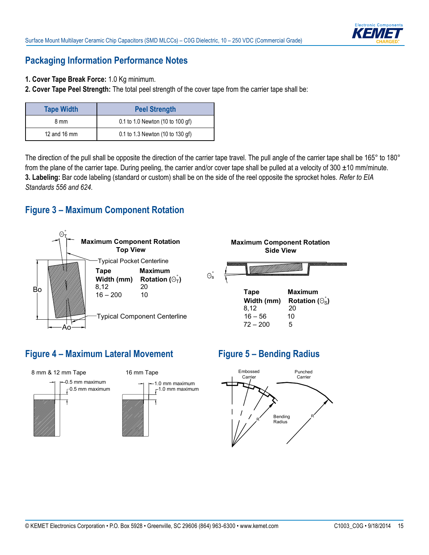

### **Packaging Information Performance Notes**

- **1. Cover Tape Break Force:** 1.0 Kg minimum.
- **2. Cover Tape Peel Strength:** The total peel strength of the cover tape from the carrier tape shall be:

| <b>Tape Width</b> | <b>Peel Strength</b>             |
|-------------------|----------------------------------|
| 8 mm              | 0.1 to 1.0 Newton (10 to 100 gf) |
| 12 and 16 mm      | 0.1 to 1.3 Newton (10 to 130 gf) |

The direction of the pull shall be opposite the direction of the carrier tape travel. The pull angle of the carrier tape shall be 165° to 180° from the plane of the carrier tape. During peeling, the carrier and/or cover tape shall be pulled at a velocity of  $300 \pm 10$  mm/minute. **3. Labeling:** Bar code labeling (standard or custom) shall be on the side of the reel opposite the sprocket holes. *Refer to EIA Standards 556 and 624*.

#### **Figure 3 – Maximum Component Rotation**



## **Figure 4 – Maximum Lateral Movement**



# **Figure 5 – Bending Radius**

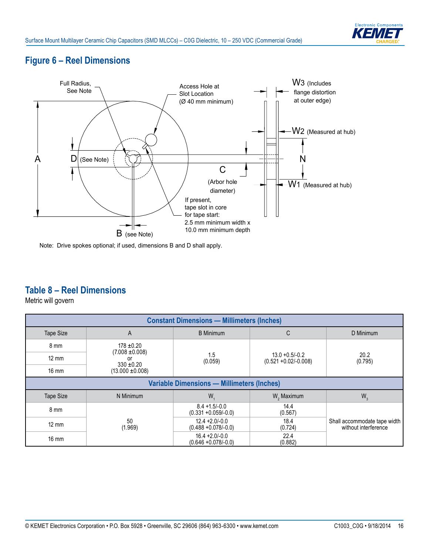

## **Figure 6 – Reel Dimensions**



Note: Drive spokes optional; if used, dimensions B and D shall apply.

## **Table 8 – Reel Dimensions**

Metric will govern

| <b>Constant Dimensions - Millimeters (Inches)</b> |                                        |                                              |                                                                  |                                                      |  |  |  |
|---------------------------------------------------|----------------------------------------|----------------------------------------------|------------------------------------------------------------------|------------------------------------------------------|--|--|--|
| <b>Tape Size</b>                                  | A                                      | <b>B</b> Minimum                             | C                                                                |                                                      |  |  |  |
| 8 mm                                              | $178 \pm 0.20$                         |                                              |                                                                  |                                                      |  |  |  |
| $12 \text{ mm}$                                   | $(7.008 \pm 0.008)$<br>0r              | 1.5<br>(0.059)                               | 20.2<br>$13.0 + 0.5/-0.2$<br>$(0.521 + 0.02/- 0.008)$<br>(0.795) |                                                      |  |  |  |
| $16 \text{ mm}$                                   | $330 \pm 0.20$<br>$(13.000 \pm 0.008)$ |                                              |                                                                  |                                                      |  |  |  |
| <b>Variable Dimensions - Millimeters (Inches)</b> |                                        |                                              |                                                                  |                                                      |  |  |  |
| <b>Tape Size</b>                                  | N Minimum                              | W.                                           | W <sub>2</sub> Maximum                                           | $W_3$                                                |  |  |  |
| 8 mm                                              |                                        | $8.4 + 1.5/-0.0$<br>$(0.331 + 0.059/-0.0)$   | 14.4<br>(0.567)                                                  |                                                      |  |  |  |
| $12 \text{ mm}$                                   | 50<br>(1.969)                          | $12.4 + 2.0 - 0.0$<br>$(0.488 + 0.078/-0.0)$ | 18.4<br>(0.724)                                                  | Shall accommodate tape width<br>without interference |  |  |  |
| $16 \text{ mm}$                                   |                                        | $16.4 + 2.0 - 0.0$<br>$(0.646 + 0.078/-0.0)$ | 22.4<br>(0.882)                                                  |                                                      |  |  |  |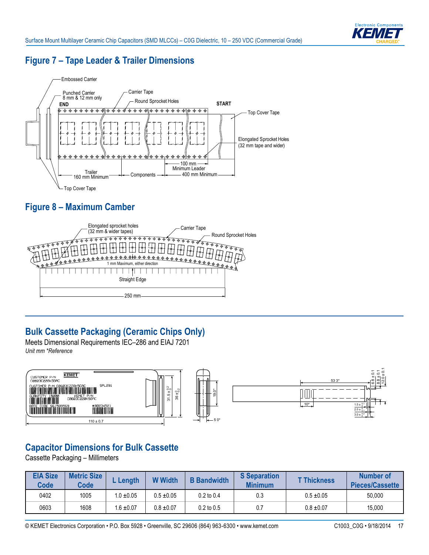

## **Figure 7 – Tape Leader & Trailer Dimensions**



## **Figure 8 – Maximum Camber**



# **Bulk Cassette Packaging (Ceramic Chips Only)**

Meets Dimensional Requirements IEC–286 and EIAJ 7201 *Unit mm \*Reference*



## **Capacitor Dimensions for Bulk Cassette**

Cassette Packaging – Millimeters

| <b>EIA Size</b><br><b>Code</b> | <b>Metric Size</b><br><b>Code</b> | Length         | <b>W</b> Width | <b>B</b> Bandwidth | <b>S</b> Separation<br><b>Minimum</b> | <b>T Thickness</b> | Number of<br>Pieces/Cassette |
|--------------------------------|-----------------------------------|----------------|----------------|--------------------|---------------------------------------|--------------------|------------------------------|
| 0402                           | 1005                              | $1.0 \pm 0.05$ | $0.5 \pm 0.05$ | $0.2$ to $0.4$     | 0.3                                   | $0.5 \pm 0.05$     | 50,000                       |
| 0603                           | 1608                              | $.6 \pm 0.07$  | $0.8 \pm 0.07$ | $0.2$ to $0.5$     | 0.7                                   | $0.8 \pm 0.07$     | 15,000                       |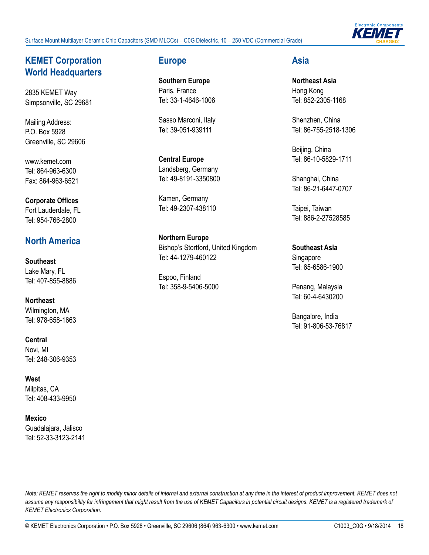Surface Mount Multilayer Ceramic Chip Capacitors (SMD MLCCs) – C0G Dielectric, 10 – 250 VDC (Commercial Grade)



### **KEMET Corporation World Headquarters**

2835 KEMET Way Simpsonville, SC 29681

Mailing Address: P.O. Box 5928 Greenville, SC 29606

www.kemet.com Tel: 864-963-6300 Fax: 864-963-6521

#### **Corporate Offices** Fort Lauderdale, FL Tel: 954-766-2800

## **North America**

**Southeast** Lake Mary, FL Tel: 407-855-8886

**Northeast** Wilmington, MA Tel: 978-658-1663

**Central** Novi, MI Tel: 248-306-9353

**West** Milpitas, CA Tel: 408-433-9950

**Mexico**  Guadalajara, Jalisco Tel: 52-33-3123-2141

#### **Europe**

**Southern Europe** Paris, France Tel: 33-1-4646-1006

Sasso Marconi, Italy Tel: 39-051-939111

**Central Europe** Landsberg, Germany Tel: 49-8191-3350800

Kamen, Germany Tel: 49-2307-438110

**Northern Europe** Bishop's Stortford, United Kingdom Tel: 44-1279-460122

Espoo, Finland Tel: 358-9-5406-5000

#### **Asia**

**Northeast Asia** Hong Kong Tel: 852-2305-1168

Shenzhen, China Tel: 86-755-2518-1306

Beijing, China Tel: 86-10-5829-1711

Shanghai, China Tel: 86-21-6447-0707

Taipei, Taiwan Tel: 886-2-27528585

**Southeast Asia** Singapore Tel: 65-6586-1900

Penang, Malaysia Tel: 60-4-6430200

Bangalore, India Tel: 91-806-53-76817

*Note: KEMET reserves the right to modify minor details of internal and external construction at any time in the interest of product improvement. KEMET does not*  assume any responsibility for infringement that might result from the use of KEMET Capacitors in potential circuit designs. KEMET is a registered trademark of *KEMET Electronics Corporation.*